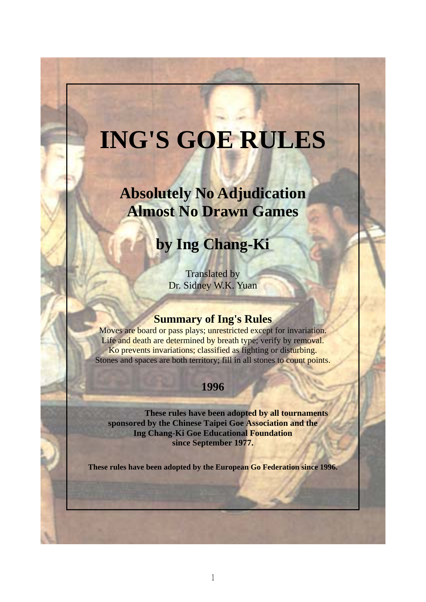# **ING'S GOE RULES**

## **Absolutely No Adjudication Almost No Drawn Games**

## **by Ing Chang-Ki**

Translated by Dr. Sidney W.K. Yuan

## **Summary of Ing's Rules**

Moves are board or pass plays; unrestricted except for invariation. Life and death are determined by breath type; verify by removal. Ko prevents invariations; classified as fighting or disturbing. Stones and spaces are both territory; fill in all stones to count points.

## **1996**

 **These rules have been adopted by all tournaments sponsored by the Chinese Taipei Goe Association and the Ing Chang-Ki Goe Educational Foundation since September 1977.** 

**These rules have been adopted by the European Go Federation since 1996.**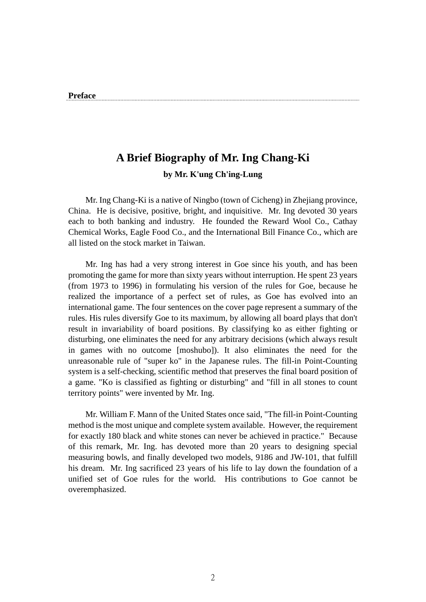## **A Brief Biography of Mr. Ing Chang-Ki by Mr. K'ung Ch'ing-Lung**

 Mr. Ing Chang-Ki is a native of Ningbo (town of Cicheng) in Zhejiang province, China. He is decisive, positive, bright, and inquisitive. Mr. Ing devoted 30 years each to both banking and industry. He founded the Reward Wool Co., Cathay Chemical Works, Eagle Food Co., and the International Bill Finance Co., which are all listed on the stock market in Taiwan.

 Mr. Ing has had a very strong interest in Goe since his youth, and has been promoting the game for more than sixty years without interruption. He spent 23 years (from 1973 to 1996) in formulating his version of the rules for Goe, because he realized the importance of a perfect set of rules, as Goe has evolved into an international game. The four sentences on the cover page represent a summary of the rules. His rules diversify Goe to its maximum, by allowing all board plays that don't result in invariability of board positions. By classifying ko as either fighting or disturbing, one eliminates the need for any arbitrary decisions (which always result in games with no outcome [moshubo]). It also eliminates the need for the unreasonable rule of "super ko" in the Japanese rules. The fill-in Point-Counting system is a self-checking, scientific method that preserves the final board position of a game. "Ko is classified as fighting or disturbing" and "fill in all stones to count territory points" were invented by Mr. Ing.

 Mr. William F. Mann of the United States once said, "The fill-in Point-Counting method is the most unique and complete system available. However, the requirement for exactly 180 black and white stones can never be achieved in practice." Because of this remark, Mr. Ing. has devoted more than 20 years to designing special measuring bowls, and finally developed two models, 9186 and JW-101, that fulfill his dream. Mr. Ing sacrificed 23 years of his life to lay down the foundation of a unified set of Goe rules for the world. His contributions to Goe cannot be overemphasized.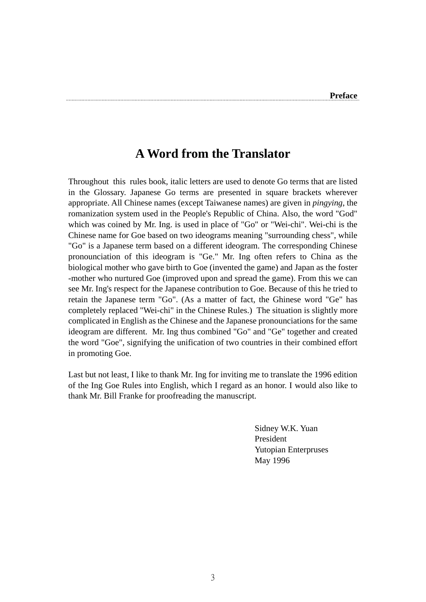## **A Word from the Translator**

Throughout this rules book, italic letters are used to denote Go terms that are listed in the Glossary. Japanese Go terms are presented in square brackets wherever appropriate. All Chinese names (except Taiwanese names) are given in *pingying*, the romanization system used in the People's Republic of China. Also, the word "God" which was coined by Mr. Ing. is used in place of "Go" or "Wei-chi". Wei-chi is the Chinese name for Goe based on two ideograms meaning "surrounding chess", while "Go" is a Japanese term based on a different ideogram. The corresponding Chinese pronounciation of this ideogram is "Ge." Mr. Ing often refers to China as the biological mother who gave birth to Goe (invented the game) and Japan as the foster -mother who nurtured Goe (improved upon and spread the game). From this we can see Mr. Ing's respect for the Japanese contribution to Goe. Because of this he tried to retain the Japanese term "Go". (As a matter of fact, the Ghinese word "Ge" has completely replaced "Wei-chi" in the Chinese Rules.) The situation is slightly more complicated in English as the Chinese and the Japanese pronounciations for the same ideogram are different. Mr. Ing thus combined "Go" and "Ge" together and created the word "Goe", signifying the unification of two countries in their combined effort in promoting Goe.

Last but not least, I like to thank Mr. Ing for inviting me to translate the 1996 edition of the Ing Goe Rules into English, which I regard as an honor. I would also like to thank Mr. Bill Franke for proofreading the manuscript.

> Sidney W.K. Yuan President Yutopian Enterpruses May 1996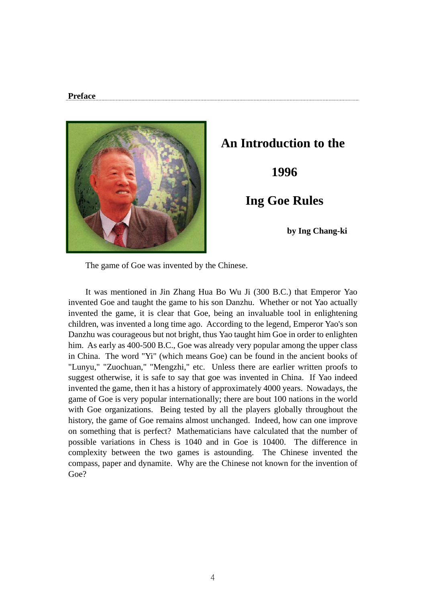

## **An Introduction to the**

 **1996** 

 **Ing Goe Rules** 

 **by Ing Chang-ki** 

The game of Goe was invented by the Chinese.

 It was mentioned in Jin Zhang Hua Bo Wu Ji (300 B.C.) that Emperor Yao invented Goe and taught the game to his son Danzhu. Whether or not Yao actually invented the game, it is clear that Goe, being an invaluable tool in enlightening children, was invented a long time ago. According to the legend, Emperor Yao's son Danzhu was courageous but not bright, thus Yao taught him Goe in order to enlighten him. As early as 400-500 B.C., Goe was already very popular among the upper class in China. The word "Yi" (which means Goe) can be found in the ancient books of "Lunyu," "Zuochuan," "Mengzhi," etc. Unless there are earlier written proofs to suggest otherwise, it is safe to say that goe was invented in China. If Yao indeed invented the game, then it has a history of approximately 4000 years. Nowadays, the game of Goe is very popular internationally; there are bout 100 nations in the world with Goe organizations. Being tested by all the players globally throughout the history, the game of Goe remains almost unchanged. Indeed, how can one improve on something that is perfect? Mathematicians have calculated that the number of possible variations in Chess is 1040 and in Goe is 10400. The difference in complexity between the two games is astounding. The Chinese invented the compass, paper and dynamite. Why are the Chinese not known for the invention of Goe?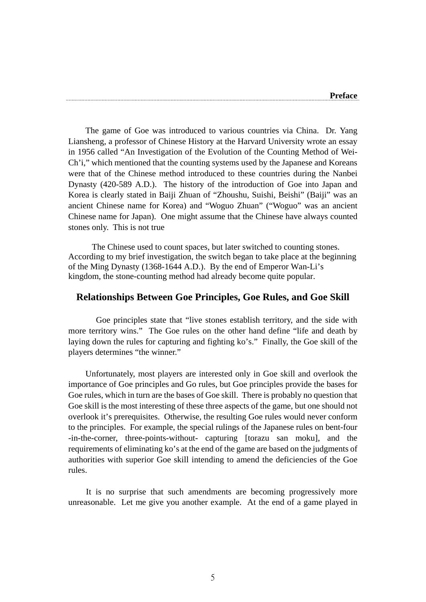The game of Goe was introduced to various countries via China. Dr. Yang Liansheng, a professor of Chinese History at the Harvard University wrote an essay in 1956 called "An Investigation of the Evolution of the Counting Method of Wei-Ch'i," which mentioned that the counting systems used by the Japanese and Koreans were that of the Chinese method introduced to these countries during the Nanbei Dynasty (420-589 A.D.). The history of the introduction of Goe into Japan and Korea is clearly stated in Baiji Zhuan of "Zhoushu, Suishi, Beishi" (Baiji" was an ancient Chinese name for Korea) and "Woguo Zhuan" ("Woguo" was an ancient Chinese name for Japan). One might assume that the Chinese have always counted stones only. This is not true

 The Chinese used to count spaces, but later switched to counting stones. According to my brief investigation, the switch began to take place at the beginning of the Ming Dynasty (1368-1644 A.D.). By the end of Emperor Wan-Li's kingdom, the stone-counting method had already become quite popular.

#### **Relationships Between Goe Principles, Goe Rules, and Goe Skill**

 Goe principles state that "live stones establish territory, and the side with more territory wins." The Goe rules on the other hand define "life and death by laying down the rules for capturing and fighting ko's." Finally, the Goe skill of the players determines "the winner."

 Unfortunately, most players are interested only in Goe skill and overlook the importance of Goe principles and Go rules, but Goe principles provide the bases for Goe rules, which in turn are the bases of Goe skill. There is probably no question that Goe skill is the most interesting of these three aspects of the game, but one should not overlook it's prerequisites. Otherwise, the resulting Goe rules would never conform to the principles. For example, the special rulings of the Japanese rules on bent-four -in-the-corner, three-points-without- capturing [torazu san moku], and the requirements of eliminating ko's at the end of the game are based on the judgments of authorities with superior Goe skill intending to amend the deficiencies of the Goe rules.

 It is no surprise that such amendments are becoming progressively more unreasonable. Let me give you another example. At the end of a game played in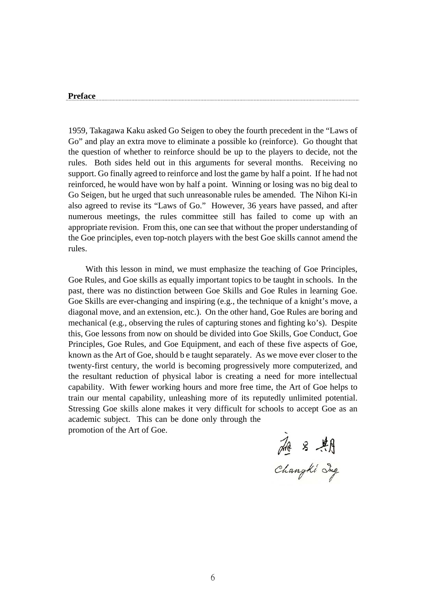1959, Takagawa Kaku asked Go Seigen to obey the fourth precedent in the "Laws of Go" and play an extra move to eliminate a possible ko (reinforce). Go thought that the question of whether to reinforce should be up to the players to decide, not the rules. Both sides held out in this arguments for several months. Receiving no support. Go finally agreed to reinforce and lost the game by half a point. If he had not reinforced, he would have won by half a point. Winning or losing was no big deal to Go Seigen, but he urged that such unreasonable rules be amended. The Nihon Ki-in also agreed to revise its "Laws of Go." However, 36 years have passed, and after numerous meetings, the rules committee still has failed to come up with an appropriate revision. From this, one can see that without the proper understanding of the Goe principles, even top-notch players with the best Goe skills cannot amend the rules.

 With this lesson in mind, we must emphasize the teaching of Goe Principles, Goe Rules, and Goe skills as equally important topics to be taught in schools. In the past, there was no distinction between Goe Skills and Goe Rules in learning Goe. Goe Skills are ever-changing and inspiring (e.g., the technique of a knight's move, a diagonal move, and an extension, etc.). On the other hand, Goe Rules are boring and mechanical (e.g., observing the rules of capturing stones and fighting ko's). Despite this, Goe lessons from now on should be divided into Goe Skills, Goe Conduct, Goe Principles, Goe Rules, and Goe Equipment, and each of these five aspects of Goe, known as the Art of Goe, should b e taught separately. As we move ever closer to the twenty-first century, the world is becoming progressively more computerized, and the resultant reduction of physical labor is creating a need for more intellectual capability. With fewer working hours and more free time, the Art of Goe helps to train our mental capability, unleashing more of its reputedly unlimited potential. Stressing Goe skills alone makes it very difficult for schools to accept Goe as an academic subject. This can be done only through the promotion of the Art of Goe.

Hz & AR<br>Changki Ing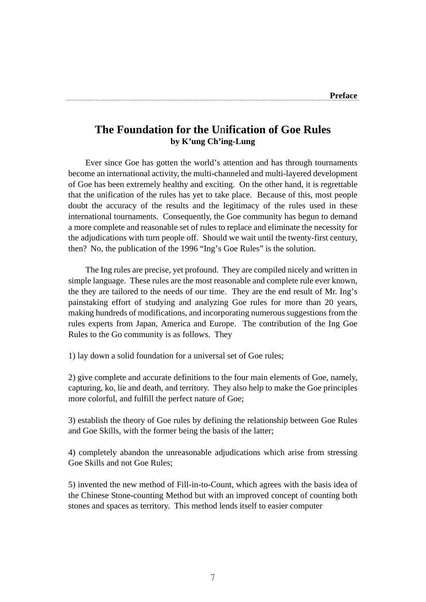### **The Foundation for the U**n**ification of Goe Rules by K'ung Ch'ing-Lung**

 Ever since Goe has gotten the world's attention and has through tournaments become an international activity, the multi-channeled and multi-layered development of Goe has been extremely healthy and exciting. On the other hand, it is regrettable that the unification of the rules has yet to take place. Because of this, most people doubt the accuracy of the results and the legitimacy of the rules used in these international tournaments. Consequently, the Goe community has begun to demand a more complete and reasonable set of rules to replace and eliminate the necessity for the adjudications with turn people off. Should we wait until the twenty-first century, then? No, the publication of the 1996 "Ing's Goe Rules" is the solution.

 The Ing rules are precise, yet profound. They are compiled nicely and written in simple language. These rules are the most reasonable and complete rule ever known, the they are tailored to the needs of our time. They are the end result of Mr. Ing's painstaking effort of studying and analyzing Goe rules for more than 20 years, making hundreds of modifications, and incorporating numerous suggestions from the rules experts from Japan, America and Europe. The contribution of the Ing Goe Rules to the Go community is as follows. They

1) lay down a solid foundation for a universal set of Goe rules;

2) give complete and accurate definitions to the four main elements of Goe, namely, capturing, ko, lie and death, and territory. They also help to make the Goe principles more colorful, and fulfill the perfect nature of Goe;

3) establish the theory of Goe rules by defining the relationship between Goe Rules and Goe Skills, with the former being the basis of the latter;

4) completely abandon the unreasonable adjudications which arise from stressing Goe Skills and not Goe Rules;

5) invented the new method of Fill-in-to-Count, which agrees with the basis idea of the Chinese Stone-counting Method but with an improved concept of counting both stones and spaces as territory. This method lends itself to easier computer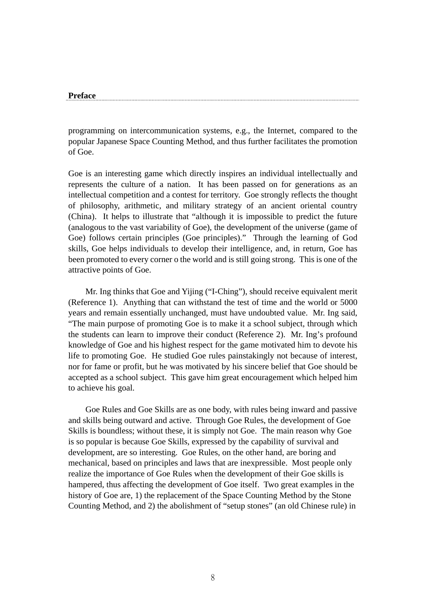programming on intercommunication systems, e.g., the Internet, compared to the popular Japanese Space Counting Method, and thus further facilitates the promotion of Goe.

Goe is an interesting game which directly inspires an individual intellectually and represents the culture of a nation. It has been passed on for generations as an intellectual competition and a contest for territory. Goe strongly reflects the thought of philosophy, arithmetic, and military strategy of an ancient oriental country (China). It helps to illustrate that "although it is impossible to predict the future (analogous to the vast variability of Goe), the development of the universe (game of Goe) follows certain principles (Goe principles)." Through the learning of God skills, Goe helps individuals to develop their intelligence, and, in return, Goe has been promoted to every corner o the world and is still going strong. This is one of the attractive points of Goe.

 Mr. Ing thinks that Goe and Yijing ("I-Ching"), should receive equivalent merit (Reference 1). Anything that can withstand the test of time and the world or 5000 years and remain essentially unchanged, must have undoubted value. Mr. Ing said, "The main purpose of promoting Goe is to make it a school subject, through which the students can learn to improve their conduct (Reference 2). Mr. Ing's profound knowledge of Goe and his highest respect for the game motivated him to devote his life to promoting Goe. He studied Goe rules painstakingly not because of interest, nor for fame or profit, but he was motivated by his sincere belief that Goe should be accepted as a school subject. This gave him great encouragement which helped him to achieve his goal.

 Goe Rules and Goe Skills are as one body, with rules being inward and passive and skills being outward and active. Through Goe Rules, the development of Goe Skills is boundless; without these, it is simply not Goe. The main reason why Goe is so popular is because Goe Skills, expressed by the capability of survival and development, are so interesting. Goe Rules, on the other hand, are boring and mechanical, based on principles and laws that are inexpressible. Most people only realize the importance of Goe Rules when the development of their Goe skills is hampered, thus affecting the development of Goe itself. Two great examples in the history of Goe are, 1) the replacement of the Space Counting Method by the Stone Counting Method, and 2) the abolishment of "setup stones" (an old Chinese rule) in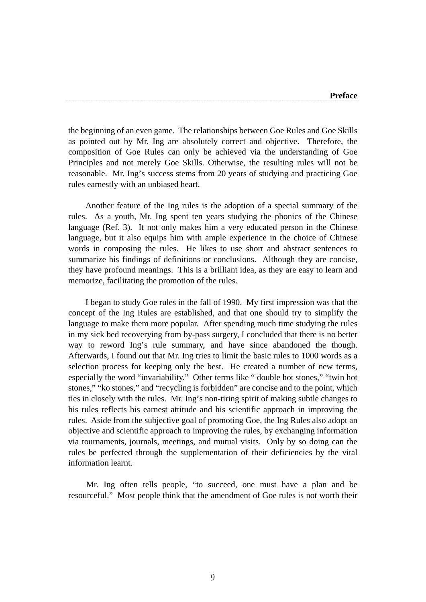the beginning of an even game. The relationships between Goe Rules and Goe Skills as pointed out by Mr. Ing are absolutely correct and objective. Therefore, the composition of Goe Rules can only be achieved via the understanding of Goe Principles and not merely Goe Skills. Otherwise, the resulting rules will not be reasonable. Mr. Ing's success stems from 20 years of studying and practicing Goe rules earnestly with an unbiased heart.

 Another feature of the Ing rules is the adoption of a special summary of the rules. As a youth, Mr. Ing spent ten years studying the phonics of the Chinese language (Ref. 3). It not only makes him a very educated person in the Chinese language, but it also equips him with ample experience in the choice of Chinese words in composing the rules. He likes to use short and abstract sentences to summarize his findings of definitions or conclusions. Although they are concise, they have profound meanings. This is a brilliant idea, as they are easy to learn and memorize, facilitating the promotion of the rules.

 I began to study Goe rules in the fall of 1990. My first impression was that the concept of the Ing Rules are established, and that one should try to simplify the language to make them more popular. After spending much time studying the rules in my sick bed recoverying from by-pass surgery, I concluded that there is no better way to reword Ing's rule summary, and have since abandoned the though. Afterwards, I found out that Mr. Ing tries to limit the basic rules to 1000 words as a selection process for keeping only the best. He created a number of new terms, especially the word "invariability." Other terms like " double hot stones," "twin hot stones," "ko stones," and "recycling is forbidden" are concise and to the point, which ties in closely with the rules. Mr. Ing's non-tiring spirit of making subtle changes to his rules reflects his earnest attitude and his scientific approach in improving the rules. Aside from the subjective goal of promoting Goe, the Ing Rules also adopt an objective and scientific approach to improving the rules, by exchanging information via tournaments, journals, meetings, and mutual visits. Only by so doing can the rules be perfected through the supplementation of their deficiencies by the vital information learnt.

 Mr. Ing often tells people, "to succeed, one must have a plan and be resourceful." Most people think that the amendment of Goe rules is not worth their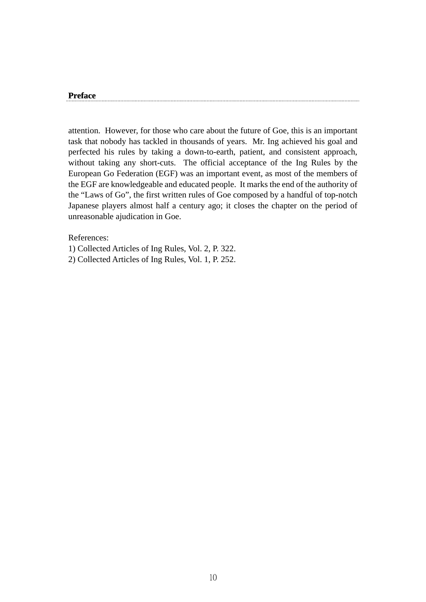attention. However, for those who care about the future of Goe, this is an important task that nobody has tackled in thousands of years. Mr. Ing achieved his goal and perfected his rules by taking a down-to-earth, patient, and consistent approach, without taking any short-cuts. The official acceptance of the Ing Rules by the European Go Federation (EGF) was an important event, as most of the members of the EGF are knowledgeable and educated people. It marks the end of the authority of the "Laws of Go", the first written rules of Goe composed by a handful of top-notch Japanese players almost half a century ago; it closes the chapter on the period of unreasonable ajudication in Goe.

References:

1) Collected Articles of Ing Rules, Vol. 2, P. 322.

2) Collected Articles of Ing Rules, Vol. 1, P. 252.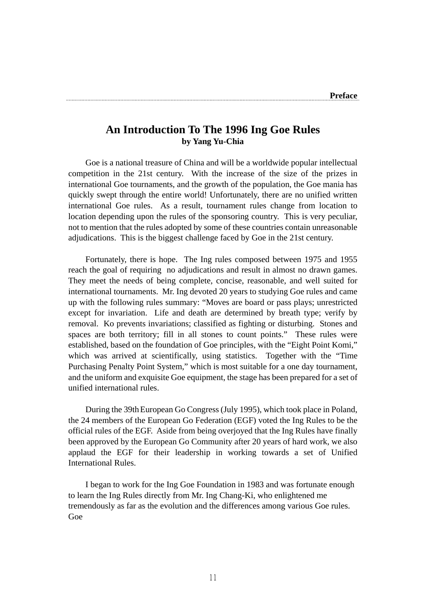## **An Introduction To The 1996 Ing Goe Rules by Yang Yu-Chia**

 Goe is a national treasure of China and will be a worldwide popular intellectual competition in the 21st century. With the increase of the size of the prizes in international Goe tournaments, and the growth of the population, the Goe mania has quickly swept through the entire world! Unfortunately, there are no unified written international Goe rules. As a result, tournament rules change from location to location depending upon the rules of the sponsoring country. This is very peculiar, not to mention that the rules adopted by some of these countries contain unreasonable adjudications. This is the biggest challenge faced by Goe in the 21st century.

 Fortunately, there is hope. The Ing rules composed between 1975 and 1955 reach the goal of requiring no adjudications and result in almost no drawn games. They meet the needs of being complete, concise, reasonable, and well suited for international tournaments. Mr. Ing devoted 20 years to studying Goe rules and came up with the following rules summary: "Moves are board or pass plays; unrestricted except for invariation. Life and death are determined by breath type; verify by removal. Ko prevents invariations; classified as fighting or disturbing. Stones and spaces are both territory; fill in all stones to count points." These rules were established, based on the foundation of Goe principles, with the "Eight Point Komi," which was arrived at scientifically, using statistics. Together with the "Time" Purchasing Penalty Point System," which is most suitable for a one day tournament, and the uniform and exquisite Goe equipment, the stage has been prepared for a set of unified international rules.

 During the 39thEuropean Go Congress (July 1995), which took place in Poland, the 24 members of the European Go Federation (EGF) voted the Ing Rules to be the official rules of the EGF. Aside from being overjoyed that the Ing Rules have finally been approved by the European Go Community after 20 years of hard work, we also applaud the EGF for their leadership in working towards a set of Unified International Rules.

 I began to work for the Ing Goe Foundation in 1983 and was fortunate enough to learn the Ing Rules directly from Mr. Ing Chang-Ki, who enlightened me tremendously as far as the evolution and the differences among various Goe rules. Goe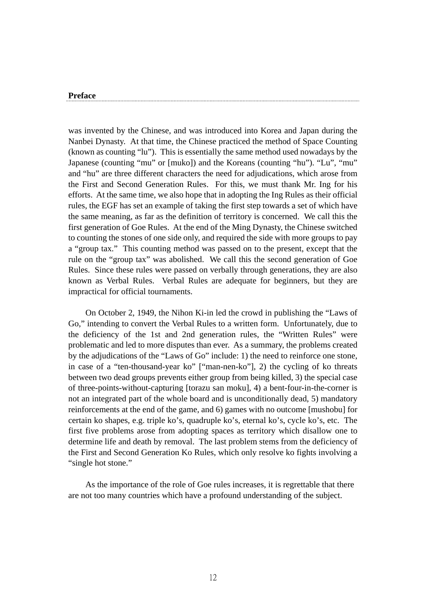was invented by the Chinese, and was introduced into Korea and Japan during the Nanbei Dynasty. At that time, the Chinese practiced the method of Space Counting (known as counting "lu"). This is essentially the same method used nowadays by the Japanese (counting "mu" or [muko]) and the Koreans (counting "hu"). "Lu", "mu" and "hu" are three different characters the need for adjudications, which arose from the First and Second Generation Rules. For this, we must thank Mr. Ing for his efforts. At the same time, we also hope that in adopting the Ing Rules as their official rules, the EGF has set an example of taking the first step towards a set of which have the same meaning, as far as the definition of territory is concerned. We call this the first generation of Goe Rules. At the end of the Ming Dynasty, the Chinese switched to counting the stones of one side only, and required the side with more groups to pay a "group tax." This counting method was passed on to the present, except that the rule on the "group tax" was abolished. We call this the second generation of Goe Rules. Since these rules were passed on verbally through generations, they are also known as Verbal Rules. Verbal Rules are adequate for beginners, but they are impractical for official tournaments.

 On October 2, 1949, the Nihon Ki-in led the crowd in publishing the "Laws of Go," intending to convert the Verbal Rules to a written form. Unfortunately, due to the deficiency of the 1st and 2nd generation rules, the "Written Rules" were problematic and led to more disputes than ever. As a summary, the problems created by the adjudications of the "Laws of Go" include: 1) the need to reinforce one stone, in case of a "ten-thousand-year ko" ["man-nen-ko"], 2) the cycling of ko threats between two dead groups prevents either group from being killed, 3) the special case of three-points-without-capturing [torazu san moku], 4) a bent-four-in-the-corner is not an integrated part of the whole board and is unconditionally dead, 5) mandatory reinforcements at the end of the game, and 6) games with no outcome [mushobu] for certain ko shapes, e.g. triple ko's, quadruple ko's, eternal ko's, cycle ko's, etc. The first five problems arose from adopting spaces as territory which disallow one to determine life and death by removal. The last problem stems from the deficiency of the First and Second Generation Ko Rules, which only resolve ko fights involving a "single hot stone."

 As the importance of the role of Goe rules increases, it is regrettable that there are not too many countries which have a profound understanding of the subject.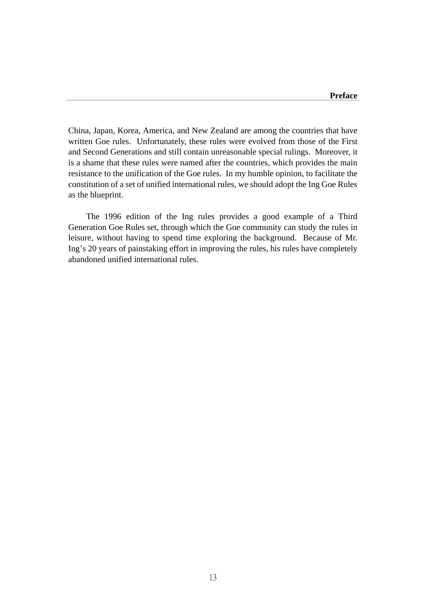China, Japan, Korea, America, and New Zealand are among the countries that have written Goe rules. Unfortunately, these rules were evolved from those of the First and Second Generations and still contain unreasonable special rulings. Moreover, it is a shame that these rules were named after the countries, which provides the main resistance to the unification of the Goe rules. In my humble opinion, to facilitate the constitution of a set of unified international rules, we should adopt the Ing Goe Rules as the blueprint.

 The 1996 edition of the Ing rules provides a good example of a Third Generation Goe Rules set, through which the Goe community can study the rules in leisure, without having to spend time exploring the background. Because of Mr. Ing's 20 years of painstaking effort in improving the rules, his rules have completely abandoned unified international rules.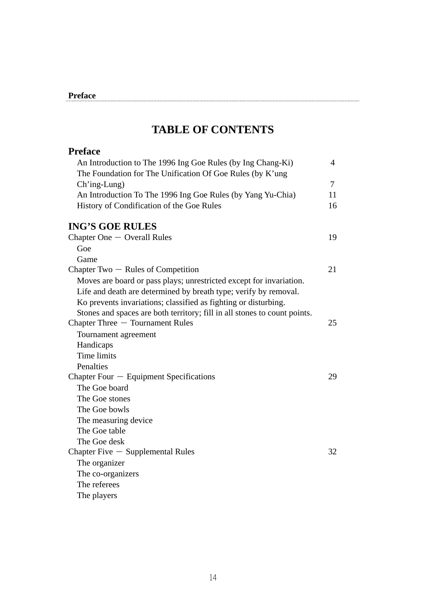## **TABLE OF CONTENTS**

| <b>Preface</b>                                                            |        |
|---------------------------------------------------------------------------|--------|
| An Introduction to The 1996 Ing Goe Rules (by Ing Chang-Ki)               | 4      |
| The Foundation for The Unification Of Goe Rules (by K'ung                 |        |
| Ch'ing-Lung)                                                              | $\tau$ |
| An Introduction To The 1996 Ing Goe Rules (by Yang Yu-Chia)               | 11     |
| History of Condification of the Goe Rules                                 | 16     |
| <b>ING'S GOE RULES</b>                                                    |        |
| Chapter One $-$ Overall Rules                                             | 19     |
| Goe                                                                       |        |
| Game                                                                      |        |
| Chapter Two $-$ Rules of Competition                                      | 21     |
| Moves are board or pass plays; unrestricted except for invariation.       |        |
| Life and death are determined by breath type; verify by removal.          |        |
| Ko prevents invariations; classified as fighting or disturbing.           |        |
| Stones and spaces are both territory; fill in all stones to count points. |        |
| Chapter Three - Tournament Rules                                          | 25     |
| Tournament agreement                                                      |        |
| Handicaps                                                                 |        |
| Time limits                                                               |        |
| Penalties                                                                 |        |
| Chapter Four $-$ Equipment Specifications                                 | 29     |
| The Goe board                                                             |        |
| The Goe stones                                                            |        |
| The Goe bowls                                                             |        |
| The measuring device                                                      |        |
| The Goe table                                                             |        |
| The Goe desk                                                              |        |
| Chapter Five $-$ Supplemental Rules                                       | 32     |
| The organizer                                                             |        |
| The co-organizers                                                         |        |
| The referees                                                              |        |
| The players                                                               |        |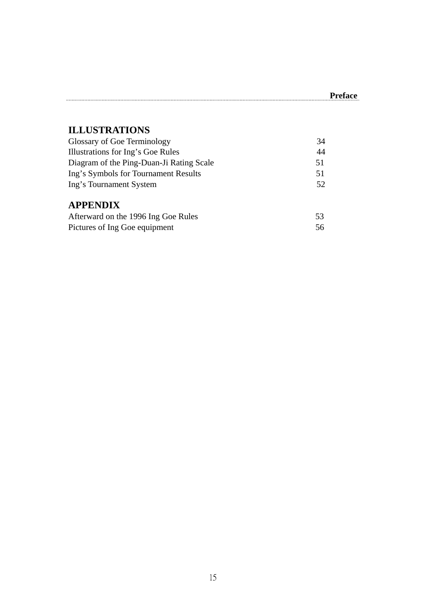## **ILLUSTRATIONS**

| Glossary of Goe Terminology              | 34 |
|------------------------------------------|----|
| Illustrations for Ing's Goe Rules        | 44 |
| Diagram of the Ping-Duan-Ji Rating Scale | 51 |
| Ing's Symbols for Tournament Results     | 51 |
| Ing's Tournament System                  | 52 |
| <b>APPENDIX</b>                          |    |
| Afterward on the 1996 Ing Goe Rules      | 53 |
| Pictures of Ing Goe equipment            | 56 |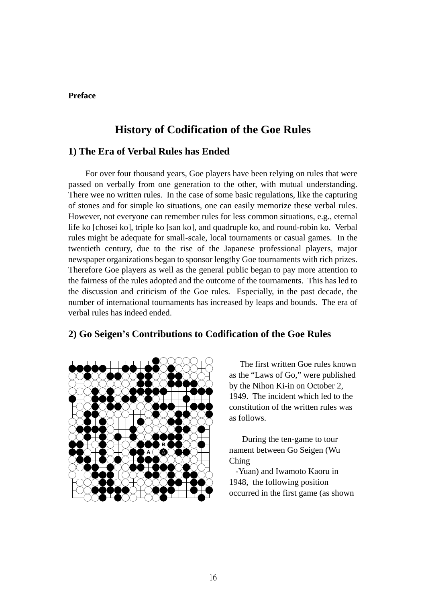## **History of Codification of the Goe Rules**

#### **1) The Era of Verbal Rules has Ended**

For over four thousand years, Goe players have been relying on rules that were passed on verbally from one generation to the other, with mutual understanding. There wee no written rules. In the case of some basic regulations, like the capturing of stones and for simple ko situations, one can easily memorize these verbal rules. However, not everyone can remember rules for less common situations, e.g., eternal life ko [chosei ko], triple ko [san ko], and quadruple ko, and round-robin ko. Verbal rules might be adequate for small-scale, local tournaments or casual games. In the twentieth century, due to the rise of the Japanese professional players, major newspaper organizations began to sponsor lengthy Goe tournaments with rich prizes. Therefore Goe players as well as the general public began to pay more attention to the fairness of the rules adopted and the outcome of the tournaments. This has led to the discussion and criticism of the Goe rules. Especially, in the past decade, the number of international tournaments has increased by leaps and bounds. The era of verbal rules has indeed ended.

### **2) Go Seigen's Contributions to Codification of the Goe Rules**



 The first written Goe rules known as the "Laws of Go," were published by the Nihon Ki-in on October 2, 1949. The incident which led to the constitution of the written rules was as follows.

 During the ten-game to tour nament between Go Seigen (Wu Ching

 -Yuan) and Iwamoto Kaoru in 1948, the following position occurred in the first game (as shown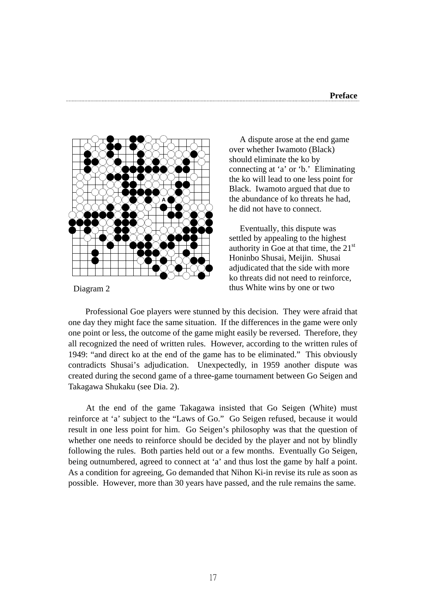

 A dispute arose at the end game over whether Iwamoto (Black) should eliminate the ko by connecting at 'a' or 'b.' Eliminating the ko will lead to one less point for Black. Iwamoto argued that due to the abundance of ko threats he had, he did not have to connect.

 Eventually, this dispute was settled by appealing to the highest authority in Goe at that time, the  $21<sup>st</sup>$ Honinbo Shusai, Meijin. Shusai adjudicated that the side with more ko threats did not need to reinforce, Diagram 2 thus White wins by one or two

 Professional Goe players were stunned by this decision. They were afraid that one day they might face the same situation. If the differences in the game were only one point or less, the outcome of the game might easily be reversed. Therefore, they all recognized the need of written rules. However, according to the written rules of 1949: "and direct ko at the end of the game has to be eliminated." This obviously contradicts Shusai's adjudication. Unexpectedly, in 1959 another dispute was created during the second game of a three-game tournament between Go Seigen and Takagawa Shukaku (see Dia. 2).

 At the end of the game Takagawa insisted that Go Seigen (White) must reinforce at 'a' subject to the "Laws of Go." Go Seigen refused, because it would result in one less point for him. Go Seigen's philosophy was that the question of whether one needs to reinforce should be decided by the player and not by blindly following the rules. Both parties held out or a few months. Eventually Go Seigen, being outnumbered, agreed to connect at 'a' and thus lost the game by half a point. As a condition for agreeing, Go demanded that Nihon Ki-in revise its rule as soon as possible. However, more than 30 years have passed, and the rule remains the same.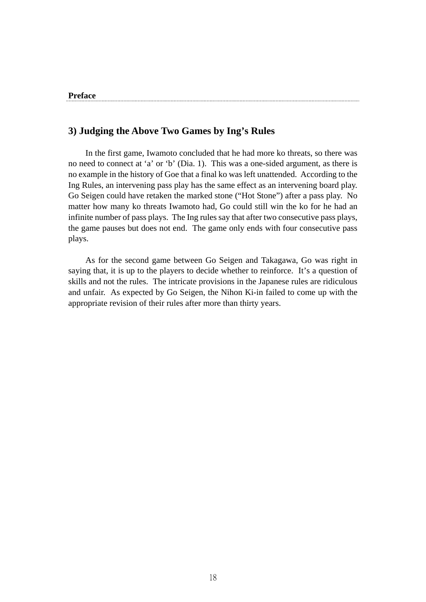#### **3) Judging the Above Two Games by Ing's Rules**

 In the first game, Iwamoto concluded that he had more ko threats, so there was no need to connect at 'a' or 'b' (Dia. 1). This was a one-sided argument, as there is no example in the history of Goe that a final ko was left unattended. According to the Ing Rules, an intervening pass play has the same effect as an intervening board play. Go Seigen could have retaken the marked stone ("Hot Stone") after a pass play. No matter how many ko threats Iwamoto had, Go could still win the ko for he had an infinite number of pass plays. The Ing rules say that after two consecutive pass plays, the game pauses but does not end. The game only ends with four consecutive pass plays.

 As for the second game between Go Seigen and Takagawa, Go was right in saying that, it is up to the players to decide whether to reinforce. It's a question of skills and not the rules. The intricate provisions in the Japanese rules are ridiculous and unfair. As expected by Go Seigen, the Nihon Ki-in failed to come up with the appropriate revision of their rules after more than thirty years.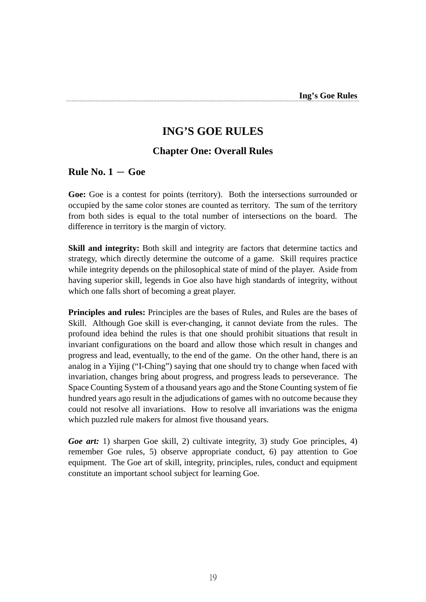## **ING'S GOE RULES**

#### **Chapter One: Overall Rules**

#### $Rule No. 1 - Goe$

**Goe:** Goe is a contest for points (territory). Both the intersections surrounded or occupied by the same color stones are counted as territory. The sum of the territory from both sides is equal to the total number of intersections on the board. The difference in territory is the margin of victory.

**Skill and integrity:** Both skill and integrity are factors that determine tactics and strategy, which directly determine the outcome of a game. Skill requires practice while integrity depends on the philosophical state of mind of the player. Aside from having superior skill, legends in Goe also have high standards of integrity, without which one falls short of becoming a great player.

**Principles and rules:** Principles are the bases of Rules, and Rules are the bases of Skill. Although Goe skill is ever-changing, it cannot deviate from the rules. The profound idea behind the rules is that one should prohibit situations that result in invariant configurations on the board and allow those which result in changes and progress and lead, eventually, to the end of the game. On the other hand, there is an analog in a Yijing ("I-Ching") saying that one should try to change when faced with invariation, changes bring about progress, and progress leads to perseverance. The Space Counting System of a thousand years ago and the Stone Counting system of fie hundred years ago result in the adjudications of games with no outcome because they could not resolve all invariations. How to resolve all invariations was the enigma which puzzled rule makers for almost five thousand years.

*Goe art:* 1) sharpen Goe skill, 2) cultivate integrity, 3) study Goe principles, 4) remember Goe rules, 5) observe appropriate conduct, 6) pay attention to Goe equipment. The Goe art of skill, integrity, principles, rules, conduct and equipment constitute an important school subject for learning Goe.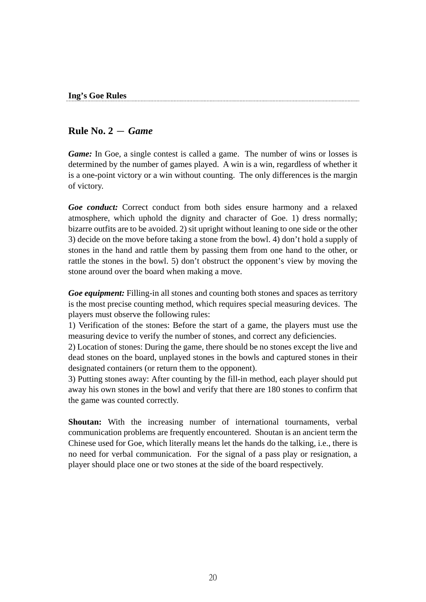#### **Rule No. 2** - *Game*

*Game:* In Goe, a single contest is called a game. The number of wins or losses is determined by the number of games played. A win is a win, regardless of whether it is a one-point victory or a win without counting. The only differences is the margin of victory.

*Goe conduct:* Correct conduct from both sides ensure harmony and a relaxed atmosphere, which uphold the dignity and character of Goe. 1) dress normally; bizarre outfits are to be avoided. 2) sit upright without leaning to one side or the other 3) decide on the move before taking a stone from the bowl. 4) don't hold a supply of stones in the hand and rattle them by passing them from one hand to the other, or rattle the stones in the bowl. 5) don't obstruct the opponent's view by moving the stone around over the board when making a move.

*Goe equipment:* Filling-in all stones and counting both stones and spaces as territory is the most precise counting method, which requires special measuring devices. The players must observe the following rules:

1) Verification of the stones: Before the start of a game, the players must use the measuring device to verify the number of stones, and correct any deficiencies.

2) Location of stones: During the game, there should be no stones except the live and dead stones on the board, unplayed stones in the bowls and captured stones in their designated containers (or return them to the opponent).

3) Putting stones away: After counting by the fill-in method, each player should put away his own stones in the bowl and verify that there are 180 stones to confirm that the game was counted correctly.

**Shoutan:** With the increasing number of international tournaments, verbal communication problems are frequently encountered. Shoutan is an ancient term the Chinese used for Goe, which literally means let the hands do the talking, i.e., there is no need for verbal communication. For the signal of a pass play or resignation, a player should place one or two stones at the side of the board respectively.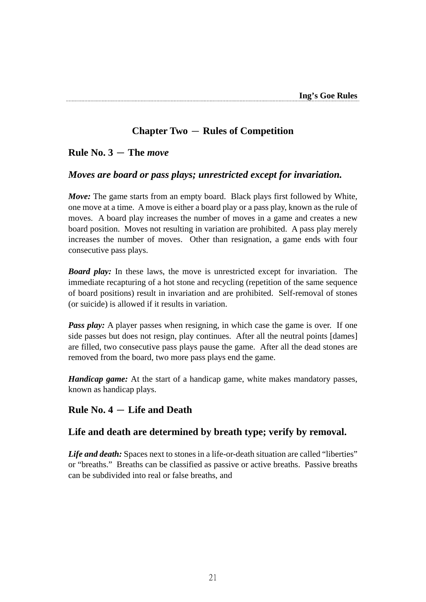## **Chapter Two** - **Rules of Competition**

### $Rule No. 3 - The *move*$

#### *Moves are board or pass plays; unrestricted except for invariation.*

*Move:* The game starts from an empty board. Black plays first followed by White, one move at a time. A move is either a board play or a pass play, known as the rule of moves. A board play increases the number of moves in a game and creates a new board position. Moves not resulting in variation are prohibited. A pass play merely increases the number of moves. Other than resignation, a game ends with four consecutive pass plays.

*Board play:* In these laws, the move is unrestricted except for invariation. The immediate recapturing of a hot stone and recycling (repetition of the same sequence of board positions) result in invariation and are prohibited. Self-removal of stones (or suicide) is allowed if it results in variation.

*Pass play:* A player passes when resigning, in which case the game is over. If one side passes but does not resign, play continues. After all the neutral points [dames] are filled, two consecutive pass plays pause the game. After all the dead stones are removed from the board, two more pass plays end the game.

*Handicap game:* At the start of a handicap game, white makes mandatory passes, known as handicap plays.

### **Rule No. 4** - **Life and Death**

### **Life and death are determined by breath type; verify by removal.**

Life and death: Spaces next to stones in a life-or-death situation are called "liberties" or "breaths." Breaths can be classified as passive or active breaths. Passive breaths can be subdivided into real or false breaths, and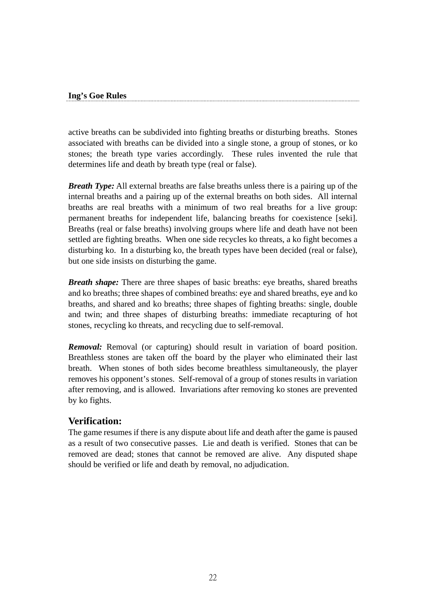#### **Ing's Goe Rules**

active breaths can be subdivided into fighting breaths or disturbing breaths. Stones associated with breaths can be divided into a single stone, a group of stones, or ko stones; the breath type varies accordingly. These rules invented the rule that determines life and death by breath type (real or false).

*Breath Type:* All external breaths are false breaths unless there is a pairing up of the internal breaths and a pairing up of the external breaths on both sides. All internal breaths are real breaths with a minimum of two real breaths for a live group: permanent breaths for independent life, balancing breaths for coexistence [seki]. Breaths (real or false breaths) involving groups where life and death have not been settled are fighting breaths. When one side recycles ko threats, a ko fight becomes a disturbing ko. In a disturbing ko, the breath types have been decided (real or false), but one side insists on disturbing the game.

*Breath shape:* There are three shapes of basic breaths: eye breaths, shared breaths and ko breaths; three shapes of combined breaths: eye and shared breaths, eye and ko breaths, and shared and ko breaths; three shapes of fighting breaths: single, double and twin; and three shapes of disturbing breaths: immediate recapturing of hot stones, recycling ko threats, and recycling due to self-removal.

*Removal:* Removal (or capturing) should result in variation of board position. Breathless stones are taken off the board by the player who eliminated their last breath. When stones of both sides become breathless simultaneously, the player removes his opponent's stones. Self-removal of a group of stones results in variation after removing, and is allowed. Invariations after removing ko stones are prevented by ko fights.

### **Verification:**

The game resumes if there is any dispute about life and death after the game is paused as a result of two consecutive passes. Lie and death is verified. Stones that can be removed are dead; stones that cannot be removed are alive. Any disputed shape should be verified or life and death by removal, no adjudication.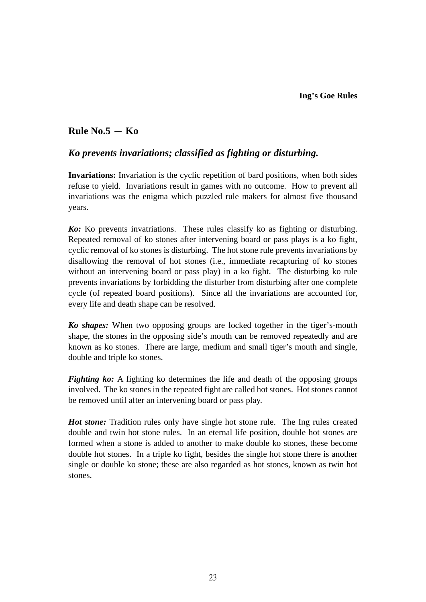## $Rule No.5 - Ko$

### *Ko prevents invariations; classified as fighting or disturbing.*

**Invariations:** Invariation is the cyclic repetition of bard positions, when both sides refuse to yield. Invariations result in games with no outcome. How to prevent all invariations was the enigma which puzzled rule makers for almost five thousand years.

*Ko:* Ko prevents invatriations. These rules classify ko as fighting or disturbing. Repeated removal of ko stones after intervening board or pass plays is a ko fight, cyclic removal of ko stones is disturbing. The hot stone rule prevents invariations by disallowing the removal of hot stones (i.e., immediate recapturing of ko stones without an intervening board or pass play) in a ko fight. The disturbing ko rule prevents invariations by forbidding the disturber from disturbing after one complete cycle (of repeated board positions). Since all the invariations are accounted for, every life and death shape can be resolved.

*Ko shapes:* When two opposing groups are locked together in the tiger's-mouth shape, the stones in the opposing side's mouth can be removed repeatedly and are known as ko stones. There are large, medium and small tiger's mouth and single, double and triple ko stones.

*Fighting ko:* A fighting ko determines the life and death of the opposing groups involved. The ko stones in the repeated fight are called hot stones. Hot stones cannot be removed until after an intervening board or pass play.

*Hot stone:* Tradition rules only have single hot stone rule. The Ing rules created double and twin hot stone rules. In an eternal life position, double hot stones are formed when a stone is added to another to make double ko stones, these become double hot stones. In a triple ko fight, besides the single hot stone there is another single or double ko stone; these are also regarded as hot stones, known as twin hot stones.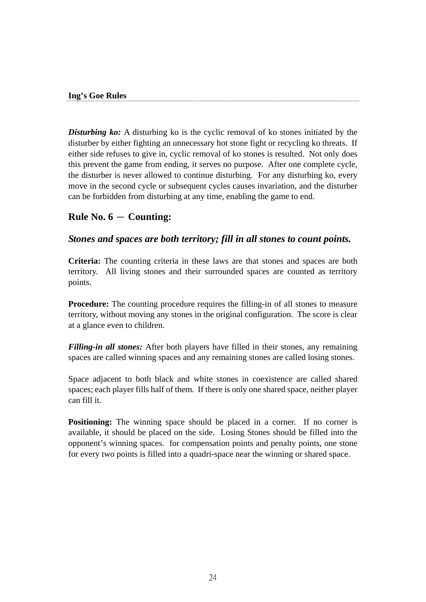#### **Ing's Goe Rules**

**Disturbing ko:** A disturbing ko is the cyclic removal of ko stones initiated by the disturber by either fighting an unnecessary hot stone fight or recycling ko threats. If either side refuses to give in, cyclic removal of ko stones is resulted. Not only does this prevent the game from ending, it serves no purpose. After one complete cycle, the disturber is never allowed to continue disturbing. For any disturbing ko, every move in the second cycle or subsequent cycles causes invariation, and the disturber can be forbidden from disturbing at any time, enabling the game to end.

### $Rule No. 6 - Counting:$

#### *Stones and spaces are both territory; fill in all stones to count points.*

**Criteria:** The counting criteria in these laws are that stones and spaces are both territory. All living stones and their surrounded spaces are counted as territory points.

**Procedure:** The counting procedure requires the filling-in of all stones to measure territory, without moving any stones in the original configuration. The score is clear at a glance even to children.

*Filling-in all stones:* After both players have filled in their stones, any remaining spaces are called winning spaces and any remaining stones are called losing stones.

Space adjacent to both black and white stones in coexistence are called shared spaces; each player fills half of them. If there is only one shared space, neither player can fill it.

**Positioning:** The winning space should be placed in a corner. If no corner is available, it should be placed on the side. Losing Stones should be filled into the opponent's winning spaces. for compensation points and penalty points, one stone for every two points is filled into a quadri-space near the winning or shared space.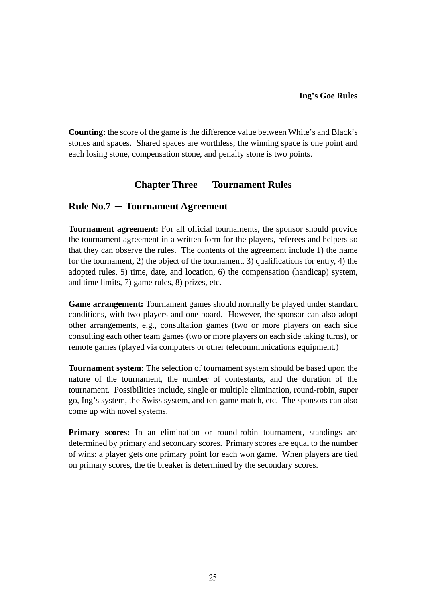**Counting:** the score of the game is the difference value between White's and Black's stones and spaces. Shared spaces are worthless; the winning space is one point and each losing stone, compensation stone, and penalty stone is two points.

### **Chapter Three** - **Tournament Rules**

#### **Rule No.7** - **Tournament Agreement**

**Tournament agreement:** For all official tournaments, the sponsor should provide the tournament agreement in a written form for the players, referees and helpers so that they can observe the rules. The contents of the agreement include 1) the name for the tournament, 2) the object of the tournament, 3) qualifications for entry, 4) the adopted rules, 5) time, date, and location, 6) the compensation (handicap) system, and time limits, 7) game rules, 8) prizes, etc.

**Game arrangement:** Tournament games should normally be played under standard conditions, with two players and one board. However, the sponsor can also adopt other arrangements, e.g., consultation games (two or more players on each side consulting each other team games (two or more players on each side taking turns), or remote games (played via computers or other telecommunications equipment.)

**Tournament system:** The selection of tournament system should be based upon the nature of the tournament, the number of contestants, and the duration of the tournament. Possibilities include, single or multiple elimination, round-robin, super go, Ing's system, the Swiss system, and ten-game match, etc. The sponsors can also come up with novel systems.

**Primary scores:** In an elimination or round-robin tournament, standings are determined by primary and secondary scores. Primary scores are equal to the number of wins: a player gets one primary point for each won game. When players are tied on primary scores, the tie breaker is determined by the secondary scores.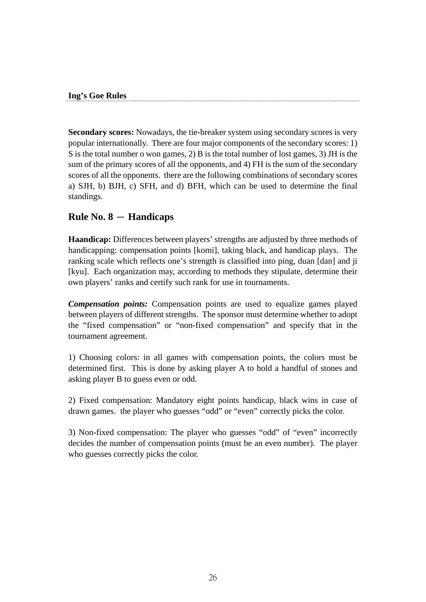#### **Ing's Goe Rules**

**Secondary scores:** Nowadays, the tie-breaker system using secondary scores is very popular internationally. There are four major components of the secondary scores: 1) S is the total number o won games, 2) B is the total number of lost games, 3) JH is the sum of the primary scores of all the opponents, and 4) FH is the sum of the secondary scores of all the opponents. there are the following combinations of secondary scores a) SJH, b) BJH, c) SFH, and d) BFH, which can be used to determine the final standings.

### $Rule No. 8 - Handicaps$

**Haandicap:** Differences between players' strengths are adjusted by three methods of handicapping: compensation points [komi], taking black, and handicap plays. The ranking scale which reflects one's strength is classified into ping, duan [dan] and ji [kyu]. Each organization may, according to methods they stipulate, determine their own players' ranks and certify such rank for use in tournaments.

*Compensation points:* Compensation points are used to equalize games played between players of different strengths. The sponsor must determine whether to adopt the "fixed compensation" or "non-fixed compensation" and specify that in the tournament agreement.

1) Choosing colors: in all games with compensation points, the colors must be determined first. This is done by asking player A to hold a handful of stones and asking player B to guess even or odd.

2) Fixed compensation: Mandatory eight points handicap, black wins in case of drawn games. the player who guesses "odd" or "even" correctly picks the color.

3) Non-fixed compensation: The player who guesses "odd" of "even" incorrectly decides the number of compensation points (must be an even number). The player who guesses correctly picks the color.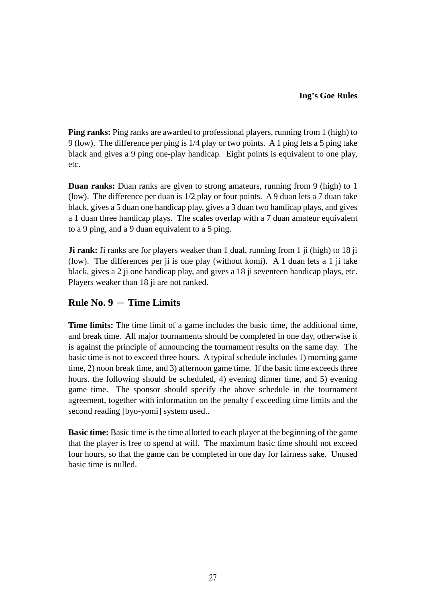**Ping ranks:** Ping ranks are awarded to professional players, running from 1 (high) to 9 (low). The difference per ping is 1/4 play or two points. A 1 ping lets a 5 ping take black and gives a 9 ping one-play handicap. Eight points is equivalent to one play, etc.

**Duan ranks:** Duan ranks are given to strong amateurs, running from 9 (high) to 1 (low). The difference per duan is 1/2 play or four points. A 9 duan lets a 7 duan take black, gives a 5 duan one handicap play, gives a 3 duan two handicap plays, and gives a 1 duan three handicap plays. The scales overlap with a 7 duan amateur equivalent to a 9 ping, and a 9 duan equivalent to a 5 ping.

**Ji rank:** Ji ranks are for players weaker than 1 dual, running from 1 ji (high) to 18 ji (low). The differences per ji is one play (without komi). A 1 duan lets a 1 ji take black, gives a 2 ji one handicap play, and gives a 18 ji seventeen handicap plays, etc. Players weaker than 18 ji are not ranked.

## $Rule No. 9 - Time Limits$

**Time limits:** The time limit of a game includes the basic time, the additional time, and break time. All major tournaments should be completed in one day, otherwise it is against the principle of announcing the tournament results on the same day. The basic time is not to exceed three hours. A typical schedule includes 1) morning game time, 2) noon break time, and 3) afternoon game time. If the basic time exceeds three hours. the following should be scheduled, 4) evening dinner time, and 5) evening game time. The sponsor should specify the above schedule in the tournament agreement, together with information on the penalty f exceeding time limits and the second reading [byo-yomi] system used..

**Basic time:** Basic time is the time allotted to each player at the beginning of the game that the player is free to spend at will. The maximum basic time should not exceed four hours, so that the game can be completed in one day for fairness sake. Unused basic time is nulled.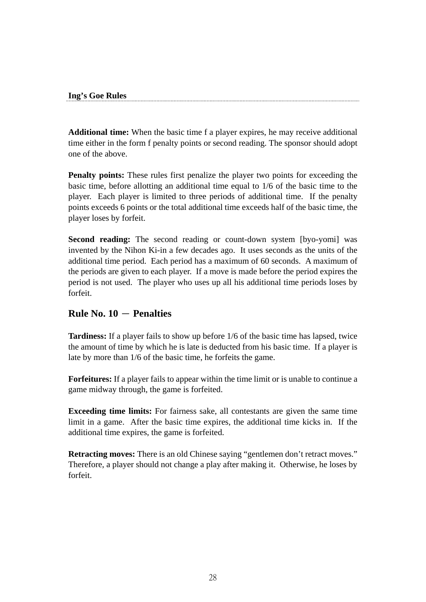#### **Ing's Goe Rules**

**Additional time:** When the basic time f a player expires, he may receive additional time either in the form f penalty points or second reading. The sponsor should adopt one of the above.

**Penalty points:** These rules first penalize the player two points for exceeding the basic time, before allotting an additional time equal to 1/6 of the basic time to the player. Each player is limited to three periods of additional time. If the penalty points exceeds 6 points or the total additional time exceeds half of the basic time, the player loses by forfeit.

**Second reading:** The second reading or count-down system [byo-yomi] was invented by the Nihon Ki-in a few decades ago. It uses seconds as the units of the additional time period. Each period has a maximum of 60 seconds. A maximum of the periods are given to each player. If a move is made before the period expires the period is not used. The player who uses up all his additional time periods loses by forfeit.

### $Rule No. 10 - Penalties$

**Tardiness:** If a player fails to show up before 1/6 of the basic time has lapsed, twice the amount of time by which he is late is deducted from his basic time. If a player is late by more than 1/6 of the basic time, he forfeits the game.

**Forfeitures:** If a player fails to appear within the time limit or is unable to continue a game midway through, the game is forfeited.

**Exceeding time limits:** For fairness sake, all contestants are given the same time limit in a game. After the basic time expires, the additional time kicks in. If the additional time expires, the game is forfeited.

**Retracting moves:** There is an old Chinese saying "gentlemen don't retract moves." Therefore, a player should not change a play after making it. Otherwise, he loses by forfeit.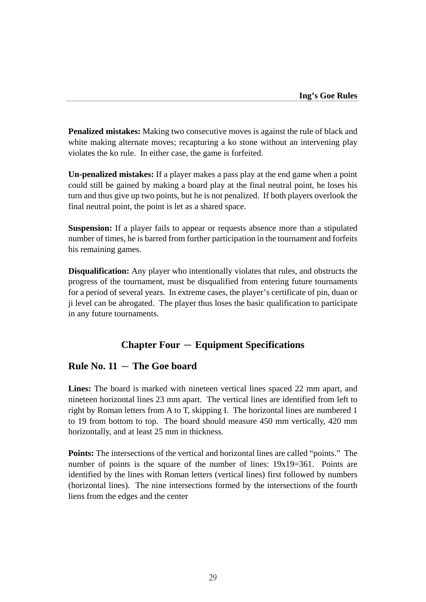**Penalized mistakes:** Making two consecutive moves is against the rule of black and white making alternate moves; recapturing a ko stone without an intervening play violates the ko rule. In either case, the game is forfeited.

**Un-penalized mistakes:** If a player makes a pass play at the end game when a point could still be gained by making a board play at the final neutral point, he loses his turn and thus give up two points, but he is not penalized. If both players overlook the final neutral point, the point is let as a shared space.

**Suspension:** If a player fails to appear or requests absence more than a stipulated number of times, he is barred from further participation in the tournament and forfeits his remaining games.

**Disqualification:** Any player who intentionally violates that rules, and obstructs the progress of the tournament, must be disqualified from entering future tournaments for a period of several years. In extreme cases, the player's certificate of pin, duan or ji level can be abrogated. The player thus loses the basic qualification to participate in any future tournaments.

## **Chapter Four** - **Equipment Specifications**

## $Rule No. 11 - The Goe board$

**Lines:** The board is marked with nineteen vertical lines spaced 22 mm apart, and nineteen horizontal lines 23 mm apart. The vertical lines are identified from left to right by Roman letters from A to T, skipping I. The horizontal lines are numbered 1 to 19 from bottom to top. The board should measure 450 mm vertically, 420 mm horizontally, and at least 25 mm in thickness.

**Points:** The intersections of the vertical and horizontal lines are called "points." The number of points is the square of the number of lines:  $19x19=361$ . Points are identified by the lines with Roman letters (vertical lines) first followed by numbers (horizontal lines). The nine intersections formed by the intersections of the fourth liens from the edges and the center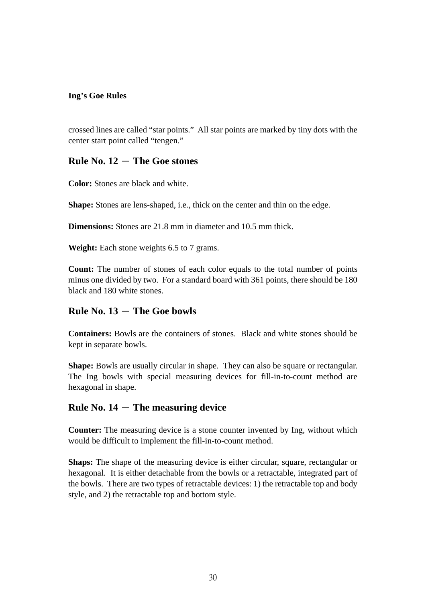#### **Ing's Goe Rules**

crossed lines are called "star points." All star points are marked by tiny dots with the center start point called "tengen."

#### $Rule No. 12 - The Goe stones$

**Color:** Stones are black and white.

**Shape:** Stones are lens-shaped, i.e., thick on the center and thin on the edge.

**Dimensions:** Stones are 21.8 mm in diameter and 10.5 mm thick.

**Weight:** Each stone weights 6.5 to 7 grams.

**Count:** The number of stones of each color equals to the total number of points minus one divided by two. For a standard board with 361 points, there should be 180 black and 180 white stones.

### **Rule No. 13** - **The Goe bowls**

**Containers:** Bowls are the containers of stones. Black and white stones should be kept in separate bowls.

**Shape:** Bowls are usually circular in shape. They can also be square or rectangular. The Ing bowls with special measuring devices for fill-in-to-count method are hexagonal in shape.

### $Rule No. 14 - The measuring device$

**Counter:** The measuring device is a stone counter invented by Ing, without which would be difficult to implement the fill-in-to-count method.

**Shaps:** The shape of the measuring device is either circular, square, rectangular or hexagonal. It is either detachable from the bowls or a retractable, integrated part of the bowls. There are two types of retractable devices: 1) the retractable top and body style, and 2) the retractable top and bottom style.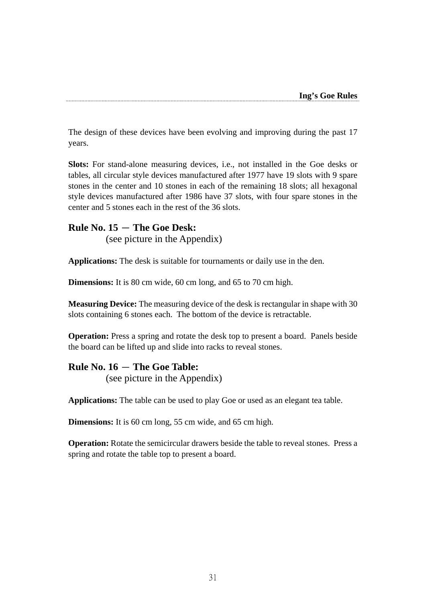The design of these devices have been evolving and improving during the past 17 years.

**Slots:** For stand-alone measuring devices, i.e., not installed in the Goe desks or tables, all circular style devices manufactured after 1977 have 19 slots with 9 spare stones in the center and 10 stones in each of the remaining 18 slots; all hexagonal style devices manufactured after 1986 have 37 slots, with four spare stones in the center and 5 stones each in the rest of the 36 slots.

#### $Rule No. 15 - The Goe Desk:$

(see picture in the Appendix)

**Applications:** The desk is suitable for tournaments or daily use in the den.

**Dimensions:** It is 80 cm wide, 60 cm long, and 65 to 70 cm high.

**Measuring Device:** The measuring device of the desk is rectangular in shape with 30 slots containing 6 stones each. The bottom of the device is retractable.

**Operation:** Press a spring and rotate the desk top to present a board. Panels beside the board can be lifted up and slide into racks to reveal stones.

#### $Rule No. 16 - The Goe Table:$

(see picture in the Appendix)

**Applications:** The table can be used to play Goe or used as an elegant tea table.

**Dimensions:** It is 60 cm long, 55 cm wide, and 65 cm high.

**Operation:** Rotate the semicircular drawers beside the table to reveal stones. Press a spring and rotate the table top to present a board.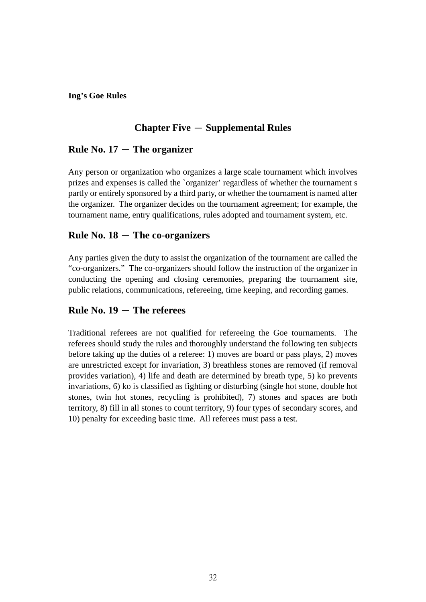## **Chapter Five** - **Supplemental Rules**

### $Rule No. 17 - The organizer$

Any person or organization who organizes a large scale tournament which involves prizes and expenses is called the `organizer' regardless of whether the tournament s partly or entirely sponsored by a third party, or whether the tournament is named after the organizer. The organizer decides on the tournament agreement; for example, the tournament name, entry qualifications, rules adopted and tournament system, etc.

### $Rule No. 18 - The co-organizers$

Any parties given the duty to assist the organization of the tournament are called the "co-organizers." The co-organizers should follow the instruction of the organizer in conducting the opening and closing ceremonies, preparing the tournament site, public relations, communications, refereeing, time keeping, and recording games.

### $Rule No. 19 - The references$

Traditional referees are not qualified for refereeing the Goe tournaments. The referees should study the rules and thoroughly understand the following ten subjects before taking up the duties of a referee: 1) moves are board or pass plays, 2) moves are unrestricted except for invariation, 3) breathless stones are removed (if removal provides variation), 4) life and death are determined by breath type, 5) ko prevents invariations, 6) ko is classified as fighting or disturbing (single hot stone, double hot stones, twin hot stones, recycling is prohibited), 7) stones and spaces are both territory, 8) fill in all stones to count territory, 9) four types of secondary scores, and 10) penalty for exceeding basic time. All referees must pass a test.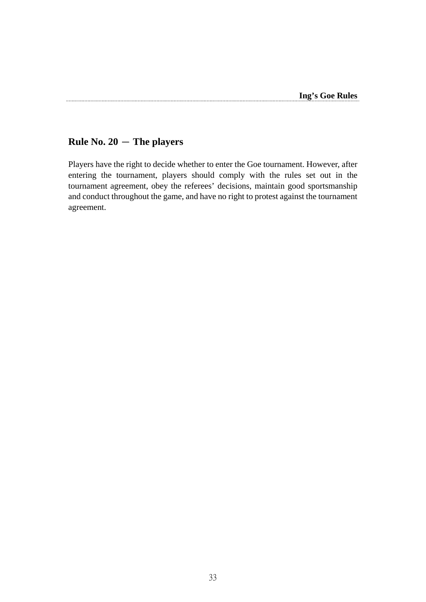## **Rule No. 20** - **The players**

Players have the right to decide whether to enter the Goe tournament. However, after entering the tournament, players should comply with the rules set out in the tournament agreement, obey the referees' decisions, maintain good sportsmanship and conduct throughout the game, and have no right to protest against the tournament agreement.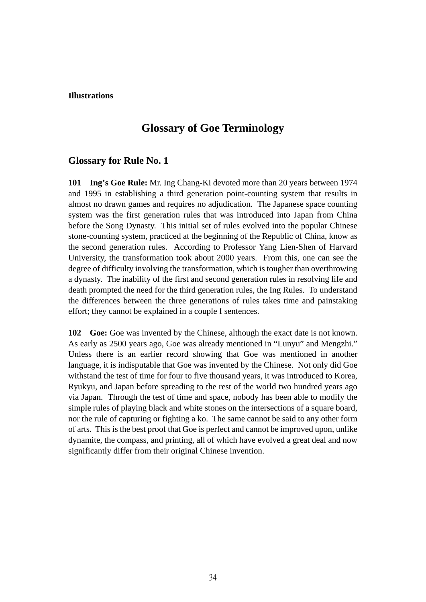#### **Illustrations**

## **Glossary of Goe Terminology**

#### **Glossary for Rule No. 1**

**101 Ing's Goe Rule:** Mr. Ing Chang-Ki devoted more than 20 years between 1974 and 1995 in establishing a third generation point-counting system that results in almost no drawn games and requires no adjudication. The Japanese space counting system was the first generation rules that was introduced into Japan from China before the Song Dynasty. This initial set of rules evolved into the popular Chinese stone-counting system, practiced at the beginning of the Republic of China, know as the second generation rules. According to Professor Yang Lien-Shen of Harvard University, the transformation took about 2000 years. From this, one can see the degree of difficulty involving the transformation, which is tougher than overthrowing a dynasty. The inability of the first and second generation rules in resolving life and death prompted the need for the third generation rules, the Ing Rules. To understand the differences between the three generations of rules takes time and painstaking effort; they cannot be explained in a couple f sentences.

**102 Goe:** Goe was invented by the Chinese, although the exact date is not known. As early as 2500 years ago, Goe was already mentioned in "Lunyu" and Mengzhi." Unless there is an earlier record showing that Goe was mentioned in another language, it is indisputable that Goe was invented by the Chinese. Not only did Goe withstand the test of time for four to five thousand years, it was introduced to Korea, Ryukyu, and Japan before spreading to the rest of the world two hundred years ago via Japan. Through the test of time and space, nobody has been able to modify the simple rules of playing black and white stones on the intersections of a square board, nor the rule of capturing or fighting a ko. The same cannot be said to any other form of arts. This is the best proof that Goe is perfect and cannot be improved upon, unlike dynamite, the compass, and printing, all of which have evolved a great deal and now significantly differ from their original Chinese invention.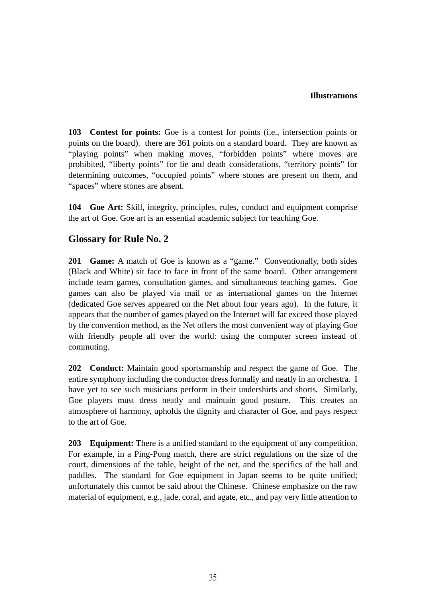**103 Contest for points:** Goe is a contest for points (i.e., intersection points or points on the board). there are 361 points on a standard board. They are known as "playing points" when making moves, "forbidden points" where moves are prohibited, "liberty points" for lie and death considerations, "territory points" for determining outcomes, "occupied points" where stones are present on them, and "spaces" where stones are absent.

**104 Goe Art:** Skill, integrity, principles, rules, conduct and equipment comprise the art of Goe. Goe art is an essential academic subject for teaching Goe.

### **Glossary for Rule No. 2**

**201 Game:** A match of Goe is known as a "game." Conventionally, both sides (Black and White) sit face to face in front of the same board. Other arrangement include team games, consultation games, and simultaneous teaching games. Goe games can also be played via mail or as international games on the Internet (dedicated Goe serves appeared on the Net about four years ago). In the future, it appears that the number of games played on the Internet will far exceed those played by the convention method, as the Net offers the most convenient way of playing Goe with friendly people all over the world: using the computer screen instead of commuting.

**202 Conduct:** Maintain good sportsmanship and respect the game of Goe. The entire symphony including the conductor dress formally and neatly in an orchestra. I have yet to see such musicians perform in their undershirts and shorts. Similarly, Goe players must dress neatly and maintain good posture. This creates an atmosphere of harmony, upholds the dignity and character of Goe, and pays respect to the art of Goe.

**203 Equipment:** There is a unified standard to the equipment of any competition. For example, in a Ping-Pong match, there are strict regulations on the size of the court, dimensions of the table, height of the net, and the specifics of the ball and paddles. The standard for Goe equipment in Japan seems to be quite unified; unfortunately this cannot be said about the Chinese. Chinese emphasize on the raw material of equipment, e.g., jade, coral, and agate, etc., and pay very little attention to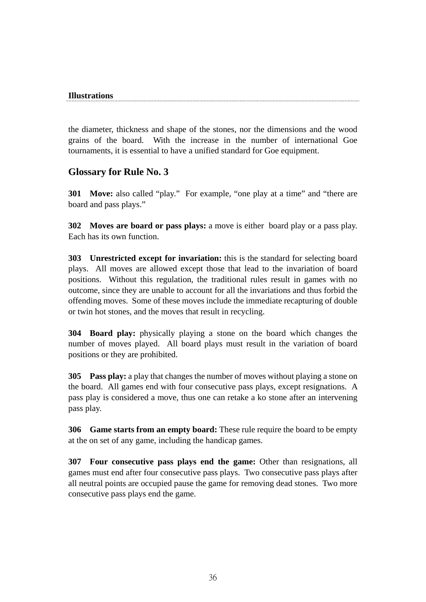#### **Illustrations**

the diameter, thickness and shape of the stones, nor the dimensions and the wood grains of the board. With the increase in the number of international Goe tournaments, it is essential to have a unified standard for Goe equipment.

### **Glossary for Rule No. 3**

**301 Move:** also called "play." For example, "one play at a time" and "there are board and pass plays."

**302 Moves are board or pass plays:** a move is either board play or a pass play. Each has its own function.

**303 Unrestricted except for invariation:** this is the standard for selecting board plays. All moves are allowed except those that lead to the invariation of board positions. Without this regulation, the traditional rules result in games with no outcome, since they are unable to account for all the invariations and thus forbid the offending moves. Some of these moves include the immediate recapturing of double or twin hot stones, and the moves that result in recycling.

**304 Board play:** physically playing a stone on the board which changes the number of moves played. All board plays must result in the variation of board positions or they are prohibited.

**305 Pass play:** a play that changes the number of moves without playing a stone on the board. All games end with four consecutive pass plays, except resignations. A pass play is considered a move, thus one can retake a ko stone after an intervening pass play.

**306 Game starts from an empty board:** These rule require the board to be empty at the on set of any game, including the handicap games.

**307 Four consecutive pass plays end the game:** Other than resignations, all games must end after four consecutive pass plays. Two consecutive pass plays after all neutral points are occupied pause the game for removing dead stones. Two more consecutive pass plays end the game.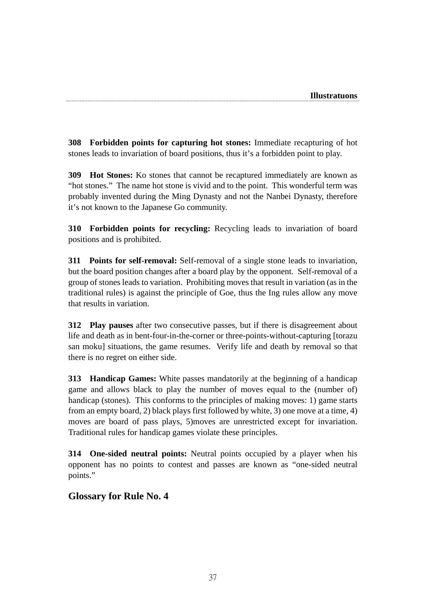**308 Forbidden points for capturing hot stones:** Immediate recapturing of hot stones leads to invariation of board positions, thus it's a forbidden point to play.

**309 Hot Stones:** Ko stones that cannot be recaptured immediately are known as "hot stones." The name hot stone is vivid and to the point. This wonderful term was probably invented during the Ming Dynasty and not the Nanbei Dynasty, therefore it's not known to the Japanese Go community.

**310 Forbidden points for recycling:** Recycling leads to invariation of board positions and is prohibited.

**311 Points for self-removal:** Self-removal of a single stone leads to invariation, but the board position changes after a board play by the opponent. Self-removal of a group of stones leads to variation. Prohibiting moves that result in variation (as in the traditional rules) is against the principle of Goe, thus the Ing rules allow any move that results in variation.

**312 Play pauses** after two consecutive passes, but if there is disagreement about life and death as in bent-four-in-the-corner or three-points-without-capturing [torazu san moku] situations, the game resumes. Verify life and death by removal so that there is no regret on either side.

**313 Handicap Games:** White passes mandatorily at the beginning of a handicap game and allows black to play the number of moves equal to the (number of) handicap (stones). This conforms to the principles of making moves: 1) game starts from an empty board, 2) black plays first followed by white, 3) one move at a time, 4) moves are board of pass plays, 5)moves are unrestricted except for invariation. Traditional rules for handicap games violate these principles.

**314 One-sided neutral points:** Neutral points occupied by a player when his opponent has no points to contest and passes are known as "one-sided neutral points."

### **Glossary for Rule No. 4**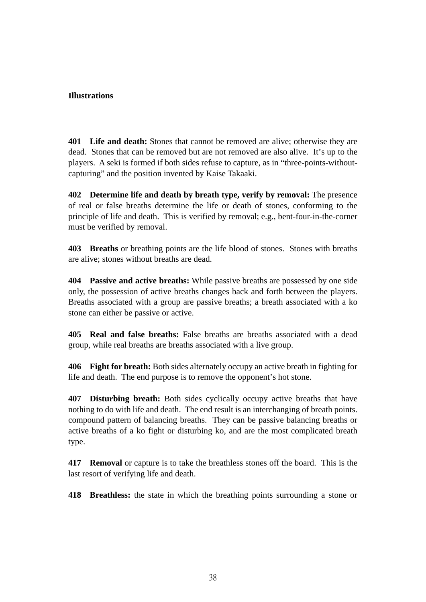#### **Illustrations**

**401 Life and death:** Stones that cannot be removed are alive; otherwise they are dead. Stones that can be removed but are not removed are also alive. It's up to the players. A seki is formed if both sides refuse to capture, as in "three-points-withoutcapturing" and the position invented by Kaise Takaaki.

**402 Determine life and death by breath type, verify by removal:** The presence of real or false breaths determine the life or death of stones, conforming to the principle of life and death. This is verified by removal; e.g., bent-four-in-the-corner must be verified by removal.

**403 Breaths** or breathing points are the life blood of stones. Stones with breaths are alive; stones without breaths are dead.

**404 Passive and active breaths:** While passive breaths are possessed by one side only, the possession of active breaths changes back and forth between the players. Breaths associated with a group are passive breaths; a breath associated with a ko stone can either be passive or active.

**405 Real and false breaths:** False breaths are breaths associated with a dead group, while real breaths are breaths associated with a live group.

**406 Fight for breath:** Both sides alternately occupy an active breath in fighting for life and death. The end purpose is to remove the opponent's hot stone.

**407 Disturbing breath:** Both sides cyclically occupy active breaths that have nothing to do with life and death. The end result is an interchanging of breath points. compound pattern of balancing breaths. They can be passive balancing breaths or active breaths of a ko fight or disturbing ko, and are the most complicated breath type.

**417 Removal** or capture is to take the breathless stones off the board. This is the last resort of verifying life and death.

**418 Breathless:** the state in which the breathing points surrounding a stone or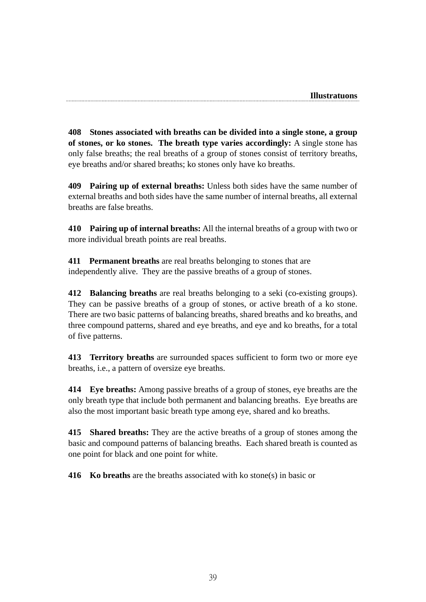**408 Stones associated with breaths can be divided into a single stone, a group of stones, or ko stones. The breath type varies accordingly:** A single stone has only false breaths; the real breaths of a group of stones consist of territory breaths, eye breaths and/or shared breaths; ko stones only have ko breaths.

**409 Pairing up of external breaths:** Unless both sides have the same number of external breaths and both sides have the same number of internal breaths, all external breaths are false breaths.

**410 Pairing up of internal breaths:** All the internal breaths of a group with two or more individual breath points are real breaths.

**411 Permanent breaths** are real breaths belonging to stones that are independently alive. They are the passive breaths of a group of stones.

**412 Balancing breaths** are real breaths belonging to a seki (co-existing groups). They can be passive breaths of a group of stones, or active breath of a ko stone. There are two basic patterns of balancing breaths, shared breaths and ko breaths, and three compound patterns, shared and eye breaths, and eye and ko breaths, for a total of five patterns.

**413 Territory breaths** are surrounded spaces sufficient to form two or more eye breaths, i.e., a pattern of oversize eye breaths.

**414 Eye breaths:** Among passive breaths of a group of stones, eye breaths are the only breath type that include both permanent and balancing breaths. Eye breaths are also the most important basic breath type among eye, shared and ko breaths.

**415 Shared breaths:** They are the active breaths of a group of stones among the basic and compound patterns of balancing breaths. Each shared breath is counted as one point for black and one point for white.

**416 Ko breaths** are the breaths associated with ko stone(s) in basic or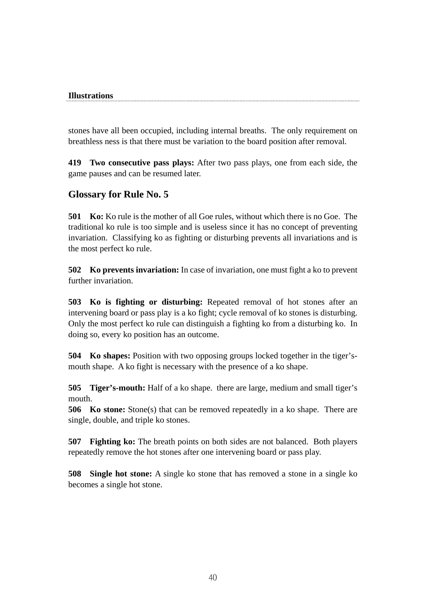#### **Illustrations**

stones have all been occupied, including internal breaths. The only requirement on breathless ness is that there must be variation to the board position after removal.

**419 Two consecutive pass plays:** After two pass plays, one from each side, the game pauses and can be resumed later.

#### **Glossary for Rule No. 5**

**501 Ko:** Ko rule is the mother of all Goe rules, without which there is no Goe. The traditional ko rule is too simple and is useless since it has no concept of preventing invariation. Classifying ko as fighting or disturbing prevents all invariations and is the most perfect ko rule.

**502 Ko prevents invariation:** In case of invariation, one must fight a ko to prevent further invariation.

**503 Ko is fighting or disturbing:** Repeated removal of hot stones after an intervening board or pass play is a ko fight; cycle removal of ko stones is disturbing. Only the most perfect ko rule can distinguish a fighting ko from a disturbing ko. In doing so, every ko position has an outcome.

**504 Ko shapes:** Position with two opposing groups locked together in the tiger'smouth shape. A ko fight is necessary with the presence of a ko shape.

**505 Tiger's-mouth:** Half of a ko shape. there are large, medium and small tiger's mouth.

**506 Ko stone:** Stone(s) that can be removed repeatedly in a ko shape. There are single, double, and triple ko stones.

**507 Fighting ko:** The breath points on both sides are not balanced. Both players repeatedly remove the hot stones after one intervening board or pass play.

**508 Single hot stone:** A single ko stone that has removed a stone in a single ko becomes a single hot stone.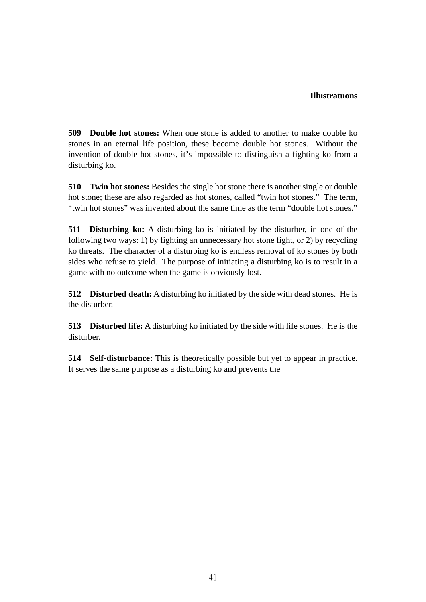**509 Double hot stones:** When one stone is added to another to make double ko stones in an eternal life position, these become double hot stones. Without the invention of double hot stones, it's impossible to distinguish a fighting ko from a disturbing ko.

**510 Twin hot stones:** Besides the single hot stone there is another single or double hot stone; these are also regarded as hot stones, called "twin hot stones." The term, "twin hot stones" was invented about the same time as the term "double hot stones."

**511 Disturbing ko:** A disturbing ko is initiated by the disturber, in one of the following two ways: 1) by fighting an unnecessary hot stone fight, or 2) by recycling ko threats. The character of a disturbing ko is endless removal of ko stones by both sides who refuse to yield. The purpose of initiating a disturbing ko is to result in a game with no outcome when the game is obviously lost.

**512 Disturbed death:** A disturbing ko initiated by the side with dead stones. He is the disturber.

**513 Disturbed life:** A disturbing ko initiated by the side with life stones. He is the disturber.

**514 Self-disturbance:** This is theoretically possible but yet to appear in practice. It serves the same purpose as a disturbing ko and prevents the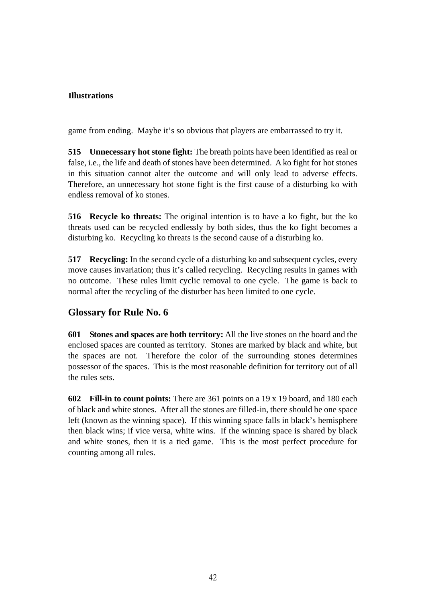#### **Illustrations**

game from ending. Maybe it's so obvious that players are embarrassed to try it.

**515 Unnecessary hot stone fight:** The breath points have been identified as real or false, i.e., the life and death of stones have been determined. A ko fight for hot stones in this situation cannot alter the outcome and will only lead to adverse effects. Therefore, an unnecessary hot stone fight is the first cause of a disturbing ko with endless removal of ko stones.

**516 Recycle ko threats:** The original intention is to have a ko fight, but the ko threats used can be recycled endlessly by both sides, thus the ko fight becomes a disturbing ko. Recycling ko threats is the second cause of a disturbing ko.

**517 Recycling:** In the second cycle of a disturbing ko and subsequent cycles, every move causes invariation; thus it's called recycling. Recycling results in games with no outcome. These rules limit cyclic removal to one cycle. The game is back to normal after the recycling of the disturber has been limited to one cycle.

## **Glossary for Rule No. 6**

**601 Stones and spaces are both territory:** All the live stones on the board and the enclosed spaces are counted as territory. Stones are marked by black and white, but the spaces are not. Therefore the color of the surrounding stones determines possessor of the spaces. This is the most reasonable definition for territory out of all the rules sets.

**602 Fill-in to count points:** There are 361 points on a 19 x 19 board, and 180 each of black and white stones. After all the stones are filled-in, there should be one space left (known as the winning space). If this winning space falls in black's hemisphere then black wins; if vice versa, white wins. If the winning space is shared by black and white stones, then it is a tied game. This is the most perfect procedure for counting among all rules.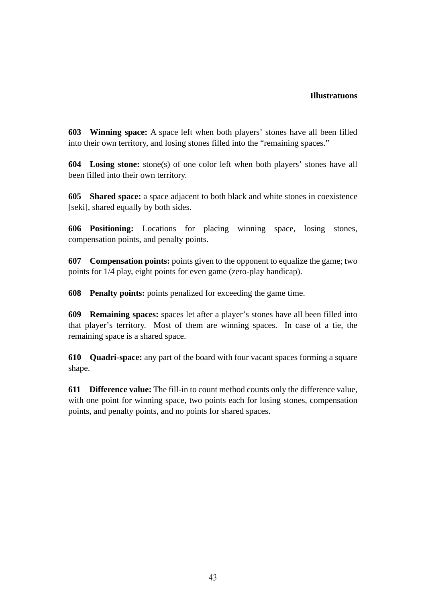**603 Winning space:** A space left when both players' stones have all been filled into their own territory, and losing stones filled into the "remaining spaces."

**604 Losing stone:** stone(s) of one color left when both players' stones have all been filled into their own territory.

**605 Shared space:** a space adjacent to both black and white stones in coexistence [seki], shared equally by both sides.

**606 Positioning:** Locations for placing winning space, losing stones, compensation points, and penalty points.

**607 Compensation points:** points given to the opponent to equalize the game; two points for 1/4 play, eight points for even game (zero-play handicap).

**608 Penalty points:** points penalized for exceeding the game time.

**609 Remaining spaces:** spaces let after a player's stones have all been filled into that player's territory. Most of them are winning spaces. In case of a tie, the remaining space is a shared space.

**610 Quadri-space:** any part of the board with four vacant spaces forming a square shape.

**611 Difference value:** The fill-in to count method counts only the difference value, with one point for winning space, two points each for losing stones, compensation points, and penalty points, and no points for shared spaces.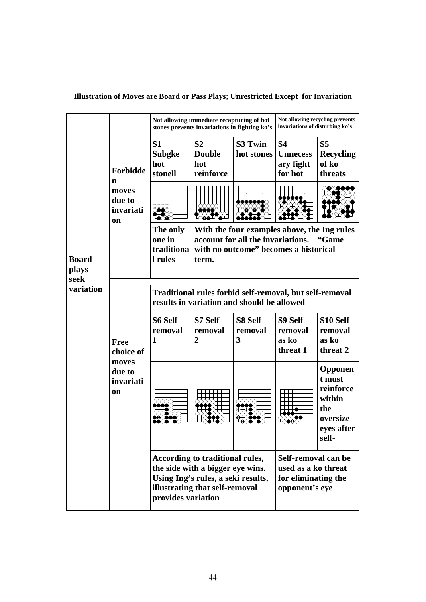|  |  | Illustration of Moves are Board or Pass Plays; Unrestricted Except for Invariation |  |
|--|--|------------------------------------------------------------------------------------|--|
|  |  |                                                                                    |  |

|                                                                                                              |                                                                                                       | Not allowing immediate recapturing of hot<br>stones prevents invariations in fighting ko's |                                                                                                                                             |                          | Not allowing recycling prevents<br>invariations of disturbing ko's                  |                                                                                    |  |
|--------------------------------------------------------------------------------------------------------------|-------------------------------------------------------------------------------------------------------|--------------------------------------------------------------------------------------------|---------------------------------------------------------------------------------------------------------------------------------------------|--------------------------|-------------------------------------------------------------------------------------|------------------------------------------------------------------------------------|--|
|                                                                                                              | <b>Forbidde</b>                                                                                       | S <sub>1</sub><br><b>Subgke</b><br>hot<br>stonell                                          | S <sub>2</sub><br><b>Double</b><br>hot<br>reinforce                                                                                         | S3 Twin<br>hot stones    | <b>S4</b><br><b>Unnecess</b><br>ary fight<br>for hot                                | S <sub>5</sub><br><b>Recycling</b><br>of ko<br>threats                             |  |
|                                                                                                              | n<br>moves<br>due to<br>invariati<br>on                                                               |                                                                                            |                                                                                                                                             |                          |                                                                                     | XX∆●€                                                                              |  |
| <b>Board</b><br>plays<br>seek<br>variation<br><b>Free</b><br>choice of<br>moves<br>due to<br>invariati<br>on |                                                                                                       | The only<br>one in<br>traditiona<br>l rules                                                | With the four examples above, the Ing rules<br>account for all the invariations.<br>"Game<br>with no outcome" becomes a historical<br>term. |                          |                                                                                     |                                                                                    |  |
|                                                                                                              | Traditional rules forbid self-removal, but self-removal<br>results in variation and should be allowed |                                                                                            |                                                                                                                                             |                          |                                                                                     |                                                                                    |  |
|                                                                                                              |                                                                                                       | S6 Self-<br>removal<br>1                                                                   | S7 Self-<br>removal<br>$\overline{2}$                                                                                                       | S8 Self-<br>removal<br>3 | S9 Self-<br>removal<br>as ko<br>threat 1                                            | S10 Self-<br>removal<br>as ko<br>threat 2                                          |  |
|                                                                                                              |                                                                                                       |                                                                                            |                                                                                                                                             |                          |                                                                                     | Opponen<br>t must<br>reinforce<br>within<br>the<br>oversize<br>eves after<br>self- |  |
|                                                                                                              |                                                                                                       | provides variation                                                                         | According to traditional rules,<br>the side with a bigger eye wins.<br>Using Ing's rules, a seki results,<br>illustrating that self-removal |                          | Self-removal can be<br>used as a ko threat<br>for eliminating the<br>opponent's eye |                                                                                    |  |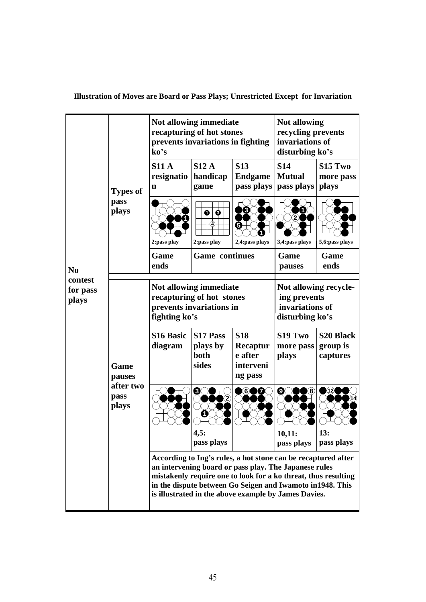**Illustration of Moves are Board or Pass Plays; Unrestricted Except for Invariation** 

|                                                                              |                 | ko's                            | Not allowing immediate<br>recapturing of hot stones<br>prevents invariations in fighting | <b>Not allowing</b><br>recycling prevents<br>invariations of<br>disturbing ko's                                                                                                                                                                                                                                |                                           |                                           |
|------------------------------------------------------------------------------|-----------------|---------------------------------|------------------------------------------------------------------------------------------|----------------------------------------------------------------------------------------------------------------------------------------------------------------------------------------------------------------------------------------------------------------------------------------------------------------|-------------------------------------------|-------------------------------------------|
|                                                                              | <b>Types of</b> | <b>S11 A</b><br>resignatio<br>n | S12A<br>handicap<br>game                                                                 | <b>S13</b><br><b>Endgame</b><br>pass plays                                                                                                                                                                                                                                                                     | <b>S14</b><br><b>Mutual</b><br>pass plays | S <sub>15</sub> Two<br>more pass<br>plays |
|                                                                              | pass<br>plays   | 2:pass play                     | ❸<br>O-<br>$\left( 4\right)$<br>2:pass play                                              | $\mathbf{3}$<br>❺<br>2,4:pass plays                                                                                                                                                                                                                                                                            | 1<br>$\mathbf{2}$<br>3,4:pass plays       | 5,6:pass plays                            |
| N <sub>0</sub>                                                               |                 | Game<br>ends                    | <b>Game</b> continues                                                                    |                                                                                                                                                                                                                                                                                                                | Game<br>pauses                            | Game<br>ends                              |
| contest<br>for pass<br>plays<br>Game<br>pauses<br>after two<br>pass<br>plays |                 | fighting ko's                   | Not allowing immediate<br>recapturing of hot stones<br>prevents invariations in          | Not allowing recycle-<br>ing prevents<br>invariations of<br>disturbing ko's                                                                                                                                                                                                                                    |                                           |                                           |
|                                                                              |                 | <b>S16 Basic</b><br>diagram     | S17 Pass<br>plays by<br>both<br>sides                                                    | <b>S18</b><br>Recaptur<br>e after<br>interveni<br>ng pass                                                                                                                                                                                                                                                      | S19 Two<br>more pass<br>plays             | <b>S20 Black</b><br>group is<br>captures  |
|                                                                              |                 |                                 | ❸<br>1<br>4,5:<br>pass plays                                                             | 6)<br>DØ                                                                                                                                                                                                                                                                                                       | $\bf 8$<br>❹<br>10,11:<br>pass plays      | (12)<br>13:<br>pass plays                 |
|                                                                              |                 |                                 |                                                                                          | According to Ing's rules, a hot stone can be recaptured after<br>an intervening board or pass play. The Japanese rules<br>mistakenly require one to look for a ko threat, thus resulting<br>in the dispute between Go Seigen and Iwamoto in 1948. This<br>is illustrated in the above example by James Davies. |                                           |                                           |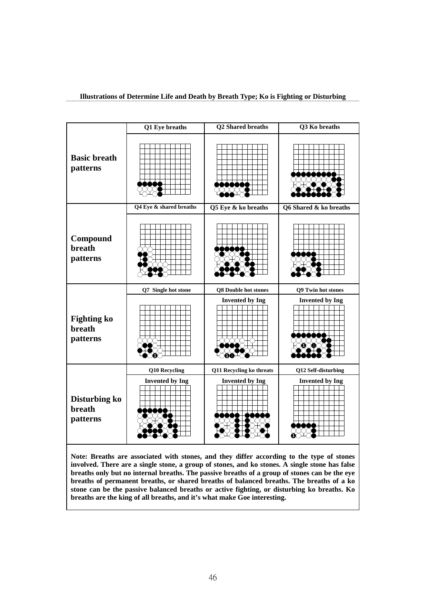|                                          | Q1 Eye breaths          | <b>Q2 Shared breaths</b>    | Q3 Ko breaths          |
|------------------------------------------|-------------------------|-----------------------------|------------------------|
| <b>Basic breath</b><br>patterns          |                         |                             |                        |
|                                          | Q4 Eye & shared breaths | Q5 Eye & ko breaths         | Q6 Shared & ko breaths |
| Compound<br><b>breath</b><br>patterns    |                         |                             |                        |
|                                          | Q7 Single hot stone     | <b>Q8 Double hot stones</b> | Q9 Twin hot stones     |
| <b>Fighting ko</b><br>breath<br>patterns |                         | <b>Invented by Ing</b>      | <b>Invented by Ing</b> |
|                                          | Q10 Recycling           | Q11 Recycling ko threats    | Q12 Self-disturbing    |
| Disturbing ko<br>breath                  | <b>Invented by Ing</b>  | <b>Invented by Ing</b>      | <b>Invented by Ing</b> |

#### **Illustrations of Determine Life and Death by Breath Type; Ko is Fighting or Disturbing**

**Note: Breaths are associated with stones, and they differ according to the type of stones involved. There are a single stone, a group of stones, and ko stones. A single stone has false breaths only but no internal breaths. The passive breaths of a group of stones can be the eye breaths of permanent breaths, or shared breaths of balanced breaths. The breaths of a ko stone can be the passive balanced breaths or active fighting, or disturbing ko breaths. Ko breaths are the king of all breaths, and it's what make Goe interesting.**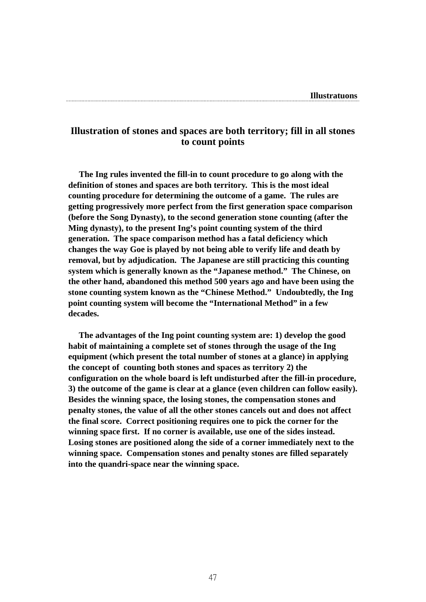#### **Illustration of stones and spaces are both territory; fill in all stones to count points**

 **The Ing rules invented the fill-in to count procedure to go along with the definition of stones and spaces are both territory. This is the most ideal counting procedure for determining the outcome of a game. The rules are getting progressively more perfect from the first generation space comparison (before the Song Dynasty), to the second generation stone counting (after the Ming dynasty), to the present Ing's point counting system of the third generation. The space comparison method has a fatal deficiency which changes the way Goe is played by not being able to verify life and death by removal, but by adjudication. The Japanese are still practicing this counting system which is generally known as the "Japanese method." The Chinese, on the other hand, abandoned this method 500 years ago and have been using the stone counting system known as the "Chinese Method." Undoubtedly, the Ing point counting system will become the "International Method" in a few decades.** 

 **The advantages of the Ing point counting system are: 1) develop the good habit of maintaining a complete set of stones through the usage of the Ing equipment (which present the total number of stones at a glance) in applying the concept of counting both stones and spaces as territory 2) the configuration on the whole board is left undisturbed after the fill-in procedure, 3) the outcome of the game is clear at a glance (even children can follow easily). Besides the winning space, the losing stones, the compensation stones and penalty stones, the value of all the other stones cancels out and does not affect the final score. Correct positioning requires one to pick the corner for the winning space first. If no corner is available, use one of the sides instead. Losing stones are positioned along the side of a corner immediately next to the winning space. Compensation stones and penalty stones are filled separately into the quandri-space near the winning space.**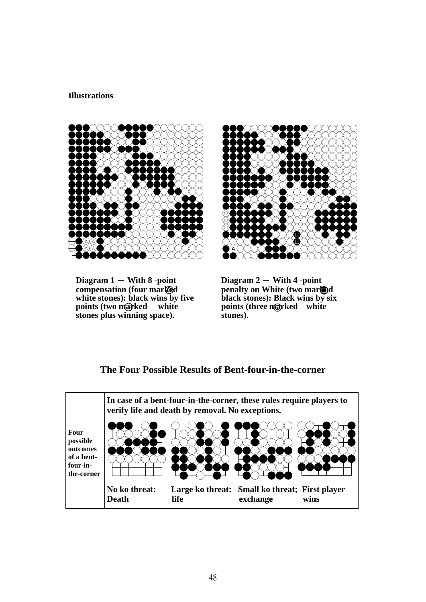#### **Illustrations**



 $Diagram 1 - With 8 - point$ **compensation (four marked white stones): black wins by five points (two marked stones plus winning space).** 



**Diagram 2** - **With 4 -point penalty on White (two marked black stones): Black wins by six points (three marked white stones).** 

### **The Four Possible Results of Bent-four-in-the-corner**

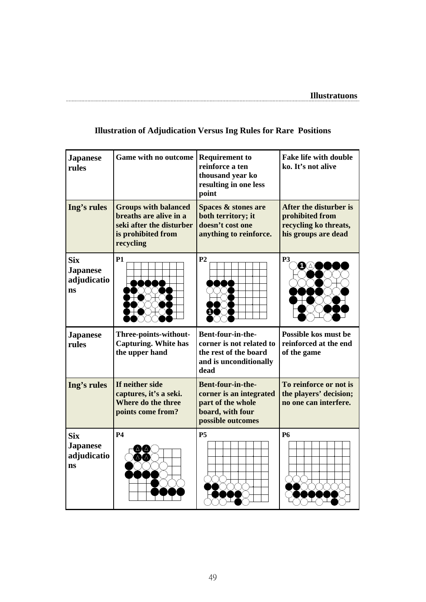| <b>Japanese</b><br>rules                           | <b>Game with no outcome</b>                                                                                          | <b>Requirement to</b><br>reinforce a ten<br>thousand year ko<br>resulting in one less<br>point             | <b>Fake life with double</b><br>ko. It's not alive                                        |
|----------------------------------------------------|----------------------------------------------------------------------------------------------------------------------|------------------------------------------------------------------------------------------------------------|-------------------------------------------------------------------------------------------|
| Ing's rules                                        | <b>Groups with balanced</b><br>breaths are alive in a<br>seki after the disturber<br>is prohibited from<br>recycling | <b>Spaces &amp; stones are</b><br>both territory; it<br>doesn't cost one<br>anything to reinforce.         | After the disturber is<br>prohibited from<br>recycling ko threats,<br>his groups are dead |
| <b>Six</b><br><b>Japanese</b><br>adjudicatio<br>ns | <b>P1</b>                                                                                                            | P <sub>2</sub>                                                                                             | P <sub>3</sub><br>$\mathbf{O}(\Delta)$                                                    |
| <b>Japanese</b><br>rules                           | Three-points-without-<br><b>Capturing. White has</b>                                                                 | Bent-four-in-the-<br>corner is not related to                                                              | Possible kos must be<br>reinforced at the end                                             |
|                                                    | the upper hand                                                                                                       | the rest of the board<br>and is unconditionally<br>dead                                                    | of the game                                                                               |
| Ing's rules                                        | If neither side<br>captures, it's a seki.<br>Where do the three<br>points come from?                                 | Bent-four-in-the-<br>corner is an integrated<br>part of the whole<br>board, with four<br>possible outcomes | To reinforce or not is<br>the players' decision;<br>no one can interfere.                 |

## **Illustration of Adjudication Versus Ing Rules for Rare Positions**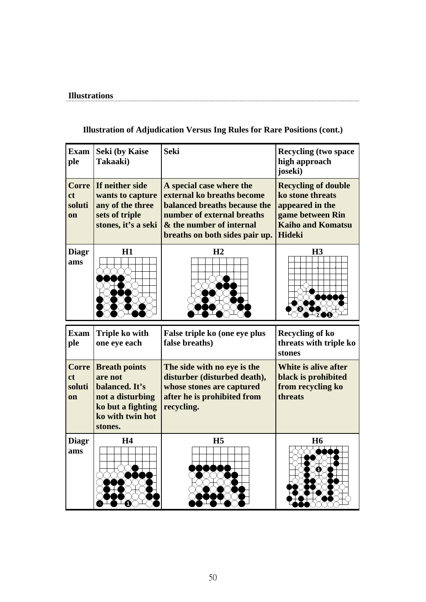#### **Illustrations**

#### **Exam ple Seki (by Kaise Takaaki)** Seki Recycling (two space **high approach joseki) Corre If neither side ct soluti on wants to capture any of the three sets of triple stones, it's a seki A special case where the external ko breaths become balanced breaths because the number of external breaths & the number of internal breaths on both sides pair up. Recycling of double ko stone threats appeared in the game between Rin Kaiho and Komatsu Hideki Diagr ams H1 H2 H3 Exam Triple ko with ple one eye each False triple ko (one eye plus false breaths) Recycling of ko threats with triple ko stones 3 2 1**

**Illustration of Adjudication Versus Ing Rules for Rare Positions (cont.)**

| ple                                                  | one eye each                                                                                                              | false breaths)                                                                                                                        | threats with triple ko<br>stones                                            |
|------------------------------------------------------|---------------------------------------------------------------------------------------------------------------------------|---------------------------------------------------------------------------------------------------------------------------------------|-----------------------------------------------------------------------------|
| <b>Corre</b><br><sub>ct</sub><br>soluti<br><b>on</b> | <b>Breath points</b><br>are not<br>balanced. It's<br>not a disturbing<br>ko but a fighting<br>ko with twin hot<br>stones. | The side with no eye is the<br>disturber (disturbed death),<br>whose stones are captured<br>after he is prohibited from<br>recycling. | White is alive after<br>black is prohibited<br>from recycling ko<br>threats |
| <b>Diagr</b><br>ams                                  | <b>H4</b>                                                                                                                 | H <sub>5</sub>                                                                                                                        | <b>H6</b>                                                                   |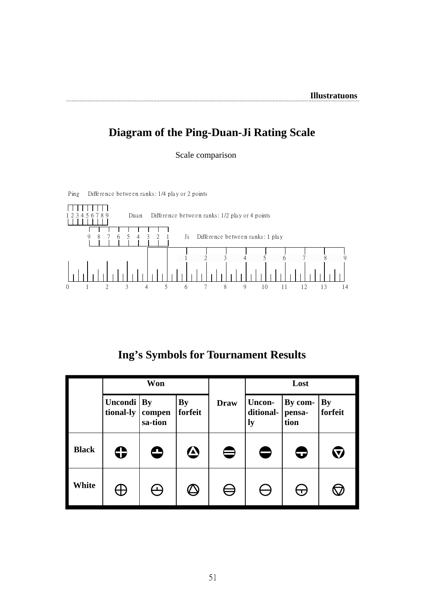## **Diagram of the Ping-Duan-Ji Rating Scale**

Scale comparison



Ping Difference between ranks: 1/4 play or 2 points

**Ing's Symbols for Tournament Results**

|              |                      | Won                            |                      |             | Lost                      |                           |                      |
|--------------|----------------------|--------------------------------|----------------------|-------------|---------------------------|---------------------------|----------------------|
|              | Uncondi<br>tional-ly | <b>By</b><br>compen<br>sa-tion | <b>By</b><br>forfeit | <b>Draw</b> | Uncon-<br>ditional-<br>ly | By com-<br>pensa-<br>tion | <b>By</b><br>forfeit |
| <b>Black</b> | ↔                    | O                              | $\bf \bm \omega$     |             |                           | C                         |                      |
| White        | 士                    |                                |                      | ⇔           |                           | $\Delta$                  |                      |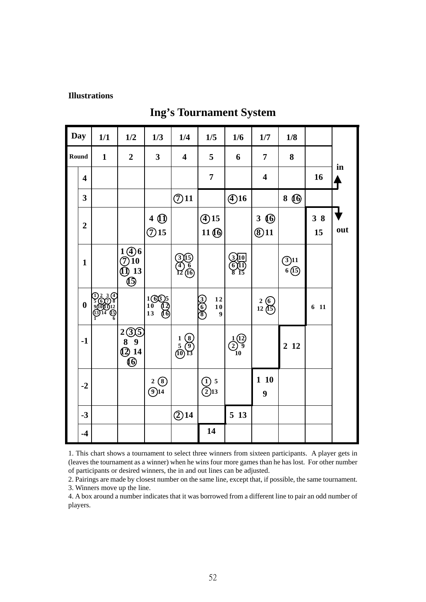#### **Illustrations**

## **Ing's Tournament System**

| Day                     | 1/1          | 1/2                                                 | 1/3                                           | 1/4                                                              | 1/5                                                                | 1/6                                                                          | 1/7                                             | 1/8              |                 |     |
|-------------------------|--------------|-----------------------------------------------------|-----------------------------------------------|------------------------------------------------------------------|--------------------------------------------------------------------|------------------------------------------------------------------------------|-------------------------------------------------|------------------|-----------------|-----|
| Round                   | $\mathbf{1}$ | $\overline{2}$                                      | $\overline{\mathbf{3}}$                       | $\overline{\mathbf{4}}$                                          | 5                                                                  | 6                                                                            | 7                                               | 8                |                 |     |
| $\overline{\mathbf{4}}$ |              |                                                     |                                               |                                                                  | $\overline{7}$                                                     |                                                                              | $\overline{\mathbf{4}}$                         |                  | 16              | in  |
| $\overline{\mathbf{3}}$ |              |                                                     |                                               | $\bigodot$ 11                                                    |                                                                    | $\bigoplus$ 16                                                               |                                                 | 8 $\omega$       |                 |     |
| $\boldsymbol{2}$        |              |                                                     | $\begin{matrix} 4 & 0 \\ 0 & 15 \end{matrix}$ |                                                                  | $\bigoplus$ 15<br>11 <sup>6</sup>                                  |                                                                              | $3 \circledR$<br>$\bigcirc$ 11                  |                  | 38<br>15        | out |
| $\mathbf{1}$            |              | $1 \bigoplus_{10} 6$<br>(10) 13<br>(15)             |                                               | <u>இரு</u><br>12 மு                                              |                                                                    | 310<br>611)<br>8 15                                                          |                                                 | $(3)11$<br>6(15) |                 |     |
| $\boldsymbol{0}$        | D2 3 C       |                                                     | 1605<br>$\frac{10}{13}$<br>ថ                  |                                                                  | ලලල<br>$\begin{array}{c} 12 \\ 10 \end{array}$<br>$\boldsymbol{9}$ |                                                                              | $\begin{array}{c} 2 & 6 \\ 12 & 15 \end{array}$ |                  | 6 <sub>11</sub> |     |
| $-1$                    |              | $\frac{2(3)}{8}$<br>$\frac{8}{9}$<br>$\frac{9}{14}$ |                                               | $\begin{array}{c} 1 & 8 \\ 5 & 9 \\ \hline (0) & 13 \end{array}$ |                                                                    | $\begin{smallmatrix} 1 & 1 & 1 \\ 2 & 9 & 9 \\ 10 & 1 & 1 \end{smallmatrix}$ |                                                 | 2 1 2            |                 |     |
| $-2$                    |              |                                                     | 2(8)<br>$\overline{9}$ 14                     |                                                                  | $\frac{1}{2}$ 5<br>2)13                                            |                                                                              | 110<br>9                                        |                  |                 |     |
| $-3$                    |              |                                                     |                                               | $\bigcirc$ 14                                                    |                                                                    | 5 13                                                                         |                                                 |                  |                 |     |
| $-4$                    |              |                                                     |                                               |                                                                  | 14                                                                 |                                                                              |                                                 |                  |                 |     |

1. This chart shows a tournament to select three winners from sixteen participants. A player gets in (leaves the tournament as a winner) when he wins four more games than he has lost. For other number of participants or desired winners, the in and out lines can be adjusted.

2. Pairings are made by closest number on the same line, except that, if possible, the same tournament. 3. Winners move up the line.

4. A box around a number indicates that it was borrowed from a different line to pair an odd number of players.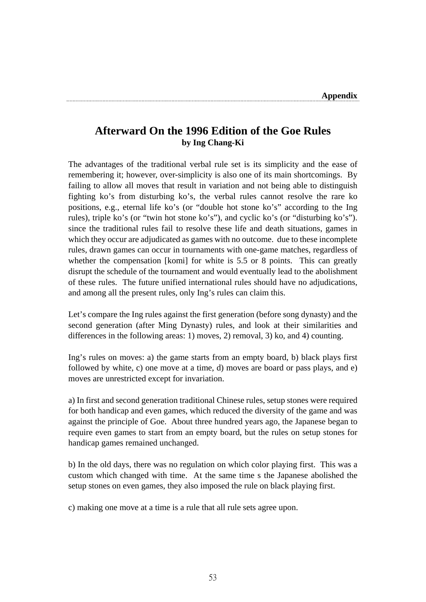## **Afterward On the 1996 Edition of the Goe Rules by Ing Chang-Ki**

The advantages of the traditional verbal rule set is its simplicity and the ease of remembering it; however, over-simplicity is also one of its main shortcomings. By failing to allow all moves that result in variation and not being able to distinguish fighting ko's from disturbing ko's, the verbal rules cannot resolve the rare ko positions, e.g., eternal life ko's (or "double hot stone ko's" according to the Ing rules), triple ko's (or "twin hot stone ko's"), and cyclic ko's (or "disturbing ko's"). since the traditional rules fail to resolve these life and death situations, games in which they occur are adjudicated as games with no outcome. due to these incomplete rules, drawn games can occur in tournaments with one-game matches, regardless of whether the compensation [komi] for white is 5.5 or 8 points. This can greatly disrupt the schedule of the tournament and would eventually lead to the abolishment of these rules. The future unified international rules should have no adjudications, and among all the present rules, only Ing's rules can claim this.

Let's compare the Ing rules against the first generation (before song dynasty) and the second generation (after Ming Dynasty) rules, and look at their similarities and differences in the following areas: 1) moves, 2) removal, 3) ko, and 4) counting.

Ing's rules on moves: a) the game starts from an empty board, b) black plays first followed by white, c) one move at a time, d) moves are board or pass plays, and e) moves are unrestricted except for invariation.

a) In first and second generation traditional Chinese rules, setup stones were required for both handicap and even games, which reduced the diversity of the game and was against the principle of Goe. About three hundred years ago, the Japanese began to require even games to start from an empty board, but the rules on setup stones for handicap games remained unchanged.

b) In the old days, there was no regulation on which color playing first. This was a custom which changed with time. At the same time s the Japanese abolished the setup stones on even games, they also imposed the rule on black playing first.

c) making one move at a time is a rule that all rule sets agree upon.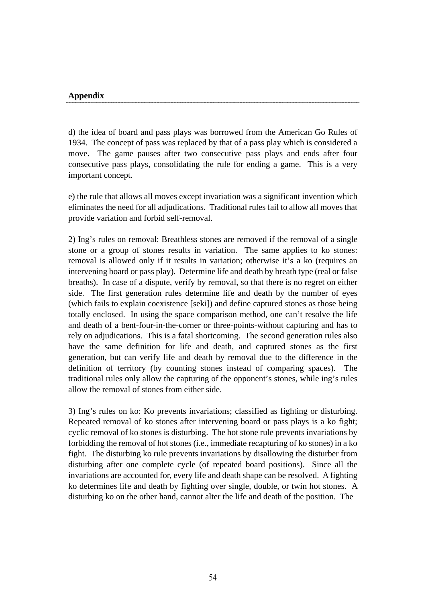#### **Appendix**

d) the idea of board and pass plays was borrowed from the American Go Rules of 1934. The concept of pass was replaced by that of a pass play which is considered a move. The game pauses after two consecutive pass plays and ends after four consecutive pass plays, consolidating the rule for ending a game. This is a very important concept.

e) the rule that allows all moves except invariation was a significant invention which eliminates the need for all adjudications. Traditional rules fail to allow all moves that provide variation and forbid self-removal.

2) Ing's rules on removal: Breathless stones are removed if the removal of a single stone or a group of stones results in variation. The same applies to ko stones: removal is allowed only if it results in variation; otherwise it's a ko (requires an intervening board or pass play). Determine life and death by breath type (real or false breaths). In case of a dispute, verify by removal, so that there is no regret on either side. The first generation rules determine life and death by the number of eyes (which fails to explain coexistence [seki]) and define captured stones as those being totally enclosed. In using the space comparison method, one can't resolve the life and death of a bent-four-in-the-corner or three-points-without capturing and has to rely on adjudications. This is a fatal shortcoming. The second generation rules also have the same definition for life and death, and captured stones as the first generation, but can verify life and death by removal due to the difference in the definition of territory (by counting stones instead of comparing spaces). The traditional rules only allow the capturing of the opponent's stones, while ing's rules allow the removal of stones from either side.

3) Ing's rules on ko: Ko prevents invariations; classified as fighting or disturbing. Repeated removal of ko stones after intervening board or pass plays is a ko fight; cyclic removal of ko stones is disturbing. The hot stone rule prevents invariations by forbidding the removal of hot stones (i.e., immediate recapturing of ko stones) in a ko fight. The disturbing ko rule prevents invariations by disallowing the disturber from disturbing after one complete cycle (of repeated board positions). Since all the invariations are accounted for, every life and death shape can be resolved. A fighting ko determines life and death by fighting over single, double, or twin hot stones. A disturbing ko on the other hand, cannot alter the life and death of the position. The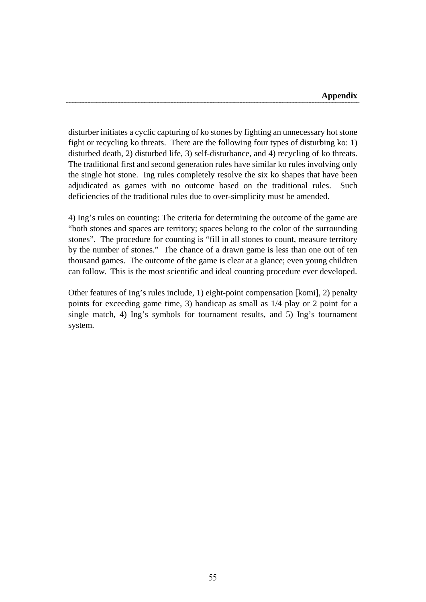disturber initiates a cyclic capturing of ko stones by fighting an unnecessary hot stone fight or recycling ko threats. There are the following four types of disturbing ko: 1) disturbed death, 2) disturbed life, 3) self-disturbance, and 4) recycling of ko threats. The traditional first and second generation rules have similar ko rules involving only the single hot stone. Ing rules completely resolve the six ko shapes that have been adjudicated as games with no outcome based on the traditional rules. Such deficiencies of the traditional rules due to over-simplicity must be amended.

4) Ing's rules on counting: The criteria for determining the outcome of the game are "both stones and spaces are territory; spaces belong to the color of the surrounding stones". The procedure for counting is "fill in all stones to count, measure territory by the number of stones." The chance of a drawn game is less than one out of ten thousand games. The outcome of the game is clear at a glance; even young children can follow. This is the most scientific and ideal counting procedure ever developed.

Other features of Ing's rules include, 1) eight-point compensation [komi], 2) penalty points for exceeding game time, 3) handicap as small as 1/4 play or 2 point for a single match, 4) Ing's symbols for tournament results, and 5) Ing's tournament system.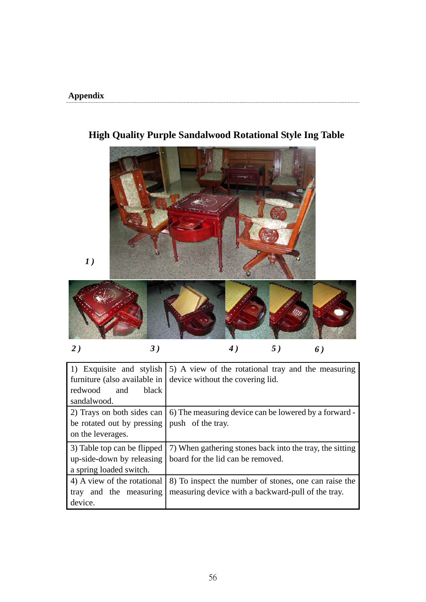

## **High Quality Purple Sandalwood Rotational Style Ing Table**

| $\overline{2}$ | $\mathbf{a}$<br>J | ٠<br>$\ddot{\phantom{a}}$ | 0 |  |
|----------------|-------------------|---------------------------|---|--|

| 1) Exquisite and stylish<br>furniture (also available in<br>black<br>redwood and<br>sandalwood. | 5) A view of the rotational tray and the measuring<br>device without the covering lid.                      |
|-------------------------------------------------------------------------------------------------|-------------------------------------------------------------------------------------------------------------|
| 2) Trays on both sides can<br>be rotated out by pressing<br>on the leverages.                   | 6) The measuring device can be lowered by a forward -<br>push of the tray.                                  |
| 3) Table top can be flipped<br>up-side-down by releasing<br>a spring loaded switch.             | 7) When gathering stones back into the tray, the sitting<br>board for the lid can be removed.               |
| 4) A view of the rotational<br>tray and the measuring<br>device.                                | 8) To inspect the number of stones, one can raise the<br>measuring device with a backward-pull of the tray. |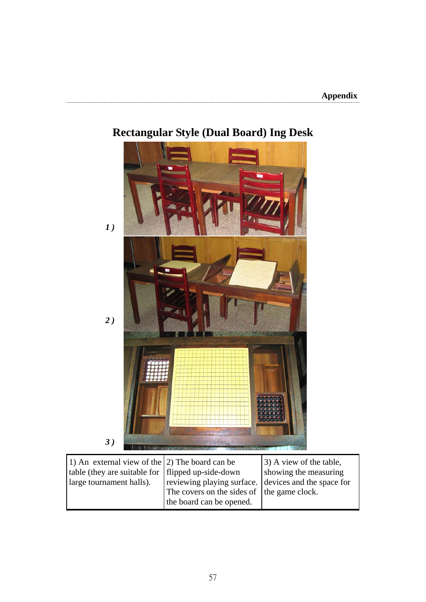

## **Rectangular Style (Dual Board) Ing Desk**

| 1) An external view of the $(2)$ The board can be   |                                                      | 3) A view of the table, |
|-----------------------------------------------------|------------------------------------------------------|-------------------------|
| table (they are suitable for   flipped up-side-down |                                                      | showing the measuring   |
| large tournament halls).                            | reviewing playing surface. devices and the space for |                         |
|                                                     | The covers on the sides of the game clock.           |                         |
|                                                     | the board can be opened.                             |                         |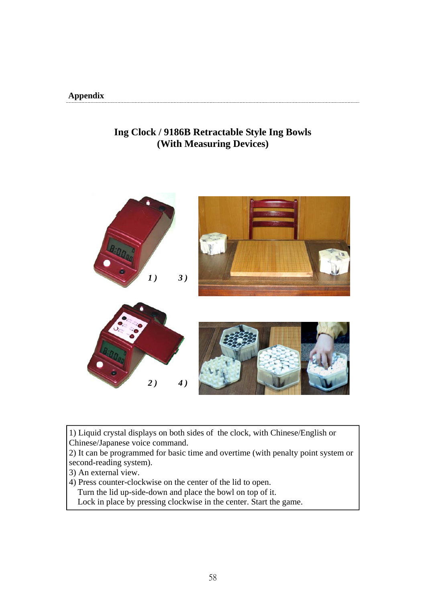#### **Appendix**

## **Ing Clock / 9186B Retractable Style Ing Bowls (With Measuring Devices)**



1) Liquid crystal displays on both sides of the clock, with Chinese/English or Chinese/Japanese voice command.

2) It can be programmed for basic time and overtime (with penalty point system or second-reading system).

3) An external view.

4) Press counter-clockwise on the center of the lid to open.

Turn the lid up-side-down and place the bowl on top of it.

Lock in place by pressing clockwise in the center. Start the game.